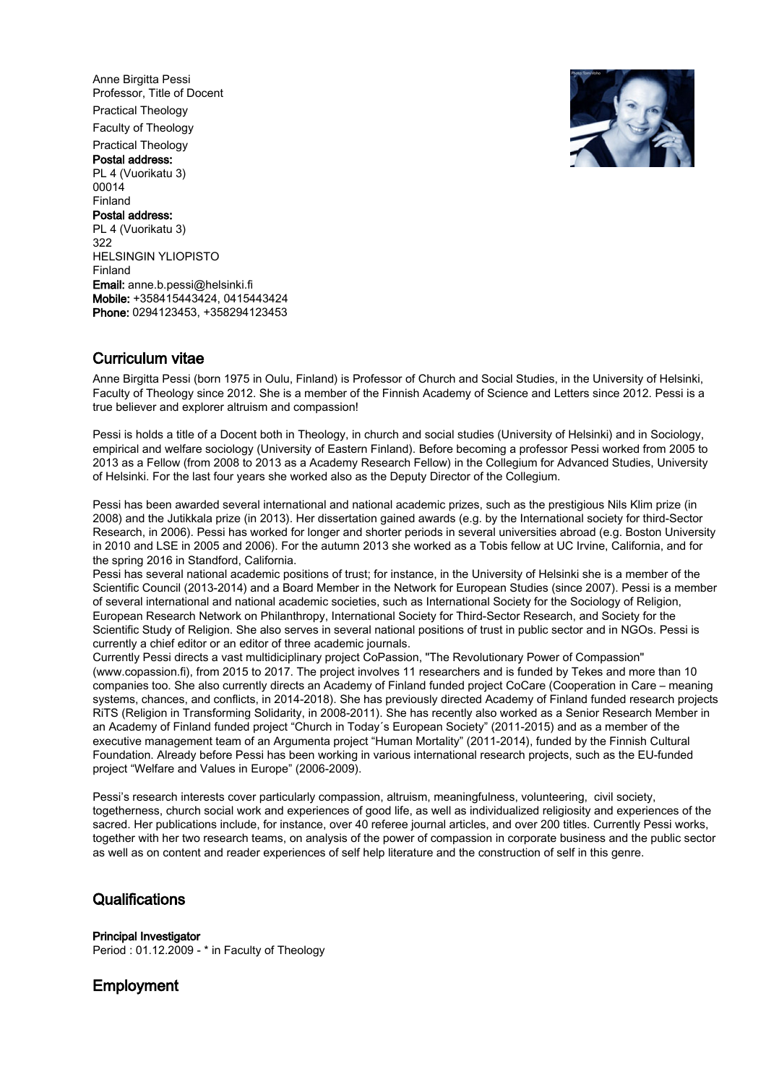Anne Birgitta Pessi Professor, Title of Docent Practical Theology Faculty of Theology Practical Theology Postal address: PL 4 (Vuorikatu 3) 00014 Finland Postal address: PL 4 (Vuorikatu 3) 322 HELSINGIN YLIOPISTO Finland Email: anne.b.pessi@helsinki.fi Mobile: +358415443424, 0415443424 Phone: 0294123453, +358294123453



## Curriculum vitae

Anne Birgitta Pessi (born 1975 in Oulu, Finland) is Professor of Church and Social Studies, in the University of Helsinki, Faculty of Theology since 2012. She is a member of the Finnish Academy of Science and Letters since 2012. Pessi is a true believer and explorer altruism and compassion!

Pessi is holds a title of a Docent both in Theology, in church and social studies (University of Helsinki) and in Sociology, empirical and welfare sociology (University of Eastern Finland). Before becoming a professor Pessi worked from 2005 to 2013 as a Fellow (from 2008 to 2013 as a Academy Research Fellow) in the Collegium for Advanced Studies, University of Helsinki. For the last four years she worked also as the Deputy Director of the Collegium.

Pessi has been awarded several international and national academic prizes, such as the prestigious Nils Klim prize (in 2008) and the Jutikkala prize (in 2013). Her dissertation gained awards (e.g. by the International society for third-Sector Research, in 2006). Pessi has worked for longer and shorter periods in several universities abroad (e.g. Boston University in 2010 and LSE in 2005 and 2006). For the autumn 2013 she worked as a Tobis fellow at UC Irvine, California, and for the spring 2016 in Standford, California.

Pessi has several national academic positions of trust; for instance, in the University of Helsinki she is a member of the Scientific Council (2013-2014) and a Board Member in the Network for European Studies (since 2007). Pessi is a member of several international and national academic societies, such as International Society for the Sociology of Religion, European Research Network on Philanthropy, International Society for Third-Sector Research, and Society for the Scientific Study of Religion. She also serves in several national positions of trust in public sector and in NGOs. Pessi is currently a chief editor or an editor of three academic journals.

Currently Pessi directs a vast multidiciplinary project CoPassion, "The Revolutionary Power of Compassion" (www.copassion.fi), from 2015 to 2017. The project involves 11 researchers and is funded by Tekes and more than 10 companies too. She also currently directs an Academy of Finland funded project CoCare (Cooperation in Care – meaning systems, chances, and conflicts, in 2014-2018). She has previously directed Academy of Finland funded research projects RiTS (Religion in Transforming Solidarity, in 2008-2011). She has recently also worked as a Senior Research Member in an Academy of Finland funded project "Church in Today´s European Society" (2011-2015) and as a member of the executive management team of an Argumenta project "Human Mortality" (2011-2014), funded by the Finnish Cultural Foundation. Already before Pessi has been working in various international research projects, such as the EU-funded project "Welfare and Values in Europe" (2006-2009).

Pessi's research interests cover particularly compassion, altruism, meaningfulness, volunteering, civil society, togetherness, church social work and experiences of good life, as well as individualized religiosity and experiences of the sacred. Her publications include, for instance, over 40 referee journal articles, and over 200 titles. Currently Pessi works, together with her two research teams, on analysis of the power of compassion in corporate business and the public sector as well as on content and reader experiences of self help literature and the construction of self in this genre.

## **Qualifications**

Principal Investigator

Period : 01.12.2009 - \* in Faculty of Theology

# **Employment**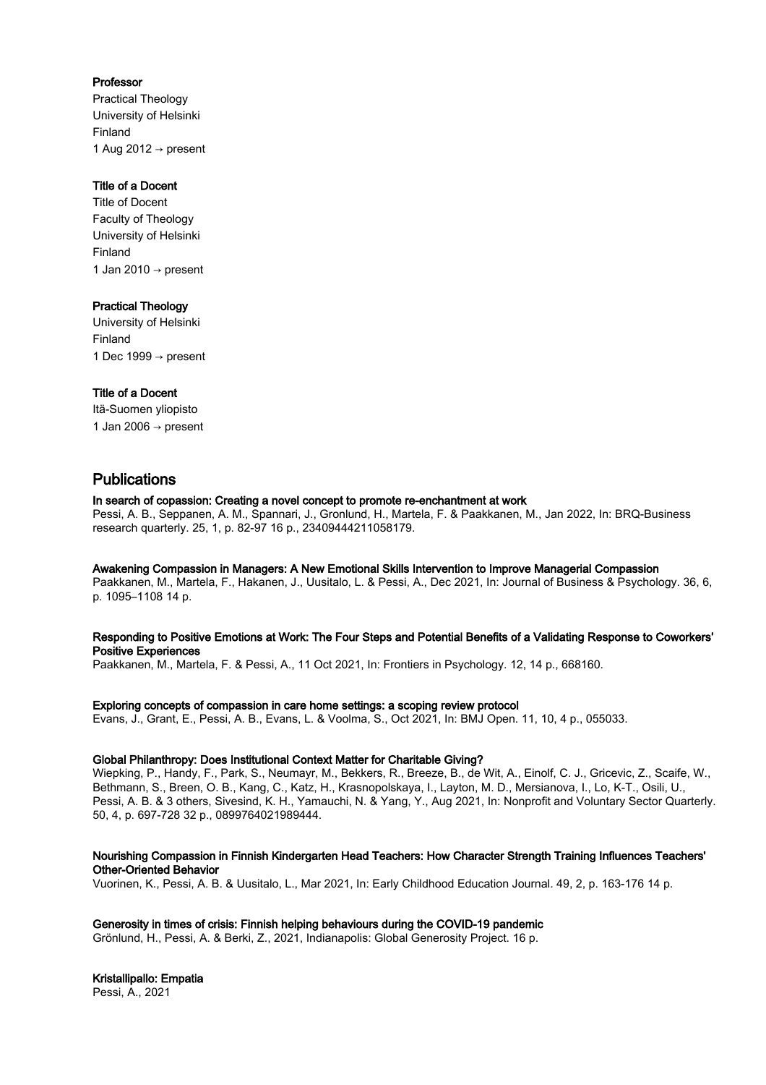## Professor

Practical Theology University of Helsinki Finland 1 Aug 2012  $\rightarrow$  present

## Title of a Docent

Title of Docent Faculty of Theology University of Helsinki Finland 1 Jan 2010 → present

## Practical Theology

University of Helsinki Finland 1 Dec 1999  $\rightarrow$  present

## Title of a Docent

Itä-Suomen yliopisto 1 Jan 2006  $\rightarrow$  present

# Publications

## In search of copassion: Creating a novel concept to promote re-enchantment at work

Pessi, A. B., Seppanen, A. M., Spannari, J., Gronlund, H., Martela, F. & Paakkanen, M., Jan 2022, In: BRQ-Business research quarterly. 25, 1, p. 82-97 16 p., 23409444211058179.

## Awakening Compassion in Managers: A New Emotional Skills Intervention to Improve Managerial Compassion

Paakkanen, M., Martela, F., Hakanen, J., Uusitalo, L. & Pessi, A., Dec 2021, In: Journal of Business & Psychology. 36, 6, p. 1095–1108 14 p.

## Responding to Positive Emotions at Work: The Four Steps and Potential Benefits of a Validating Response to Coworkers' Positive Experiences

Paakkanen, M., Martela, F. & Pessi, A., 11 Oct 2021, In: Frontiers in Psychology. 12, 14 p., 668160.

## Exploring concepts of compassion in care home settings: a scoping review protocol

Evans, J., Grant, E., Pessi, A. B., Evans, L. & Voolma, S., Oct 2021, In: BMJ Open. 11, 10, 4 p., 055033.

## Global Philanthropy: Does Institutional Context Matter for Charitable Giving?

Wiepking, P., Handy, F., Park, S., Neumayr, M., Bekkers, R., Breeze, B., de Wit, A., Einolf, C. J., Gricevic, Z., Scaife, W., Bethmann, S., Breen, O. B., Kang, C., Katz, H., Krasnopolskaya, I., Layton, M. D., Mersianova, I., Lo, K-T., Osili, U., Pessi, A. B. & 3 others, Sivesind, K. H., Yamauchi, N. & Yang, Y., Aug 2021, In: Nonprofit and Voluntary Sector Quarterly. 50, 4, p. 697-728 32 p., 0899764021989444.

## Nourishing Compassion in Finnish Kindergarten Head Teachers: How Character Strength Training Influences Teachers' Other-Oriented Behavior

Vuorinen, K., Pessi, A. B. & Uusitalo, L., Mar 2021, In: Early Childhood Education Journal. 49, 2, p. 163-176 14 p.

## Generosity in times of crisis: Finnish helping behaviours during the COVID-19 pandemic

Grönlund, H., Pessi, A. & Berki, Z., 2021, Indianapolis: Global Generosity Project. 16 p.

## Kristallipallo: Empatia

Pessi, A., 2021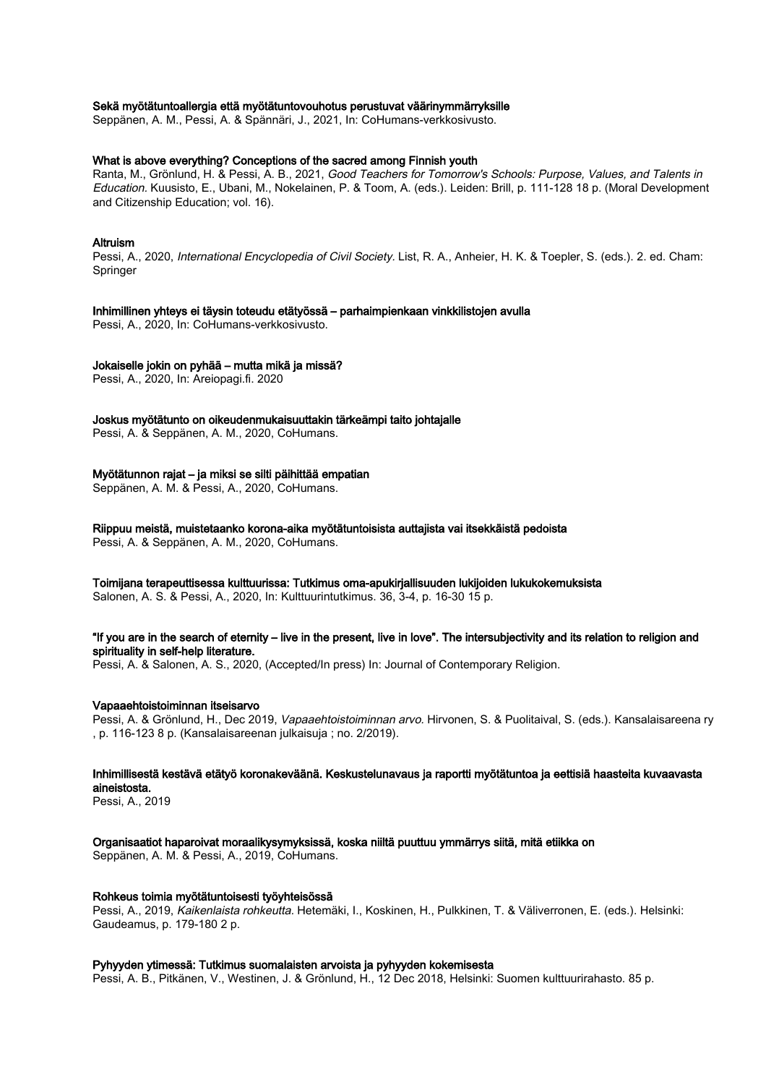## Sekä myötätuntoallergia että myötätuntovouhotus perustuvat väärinymmärryksille

Seppänen, A. M., Pessi, A. & Spännäri, J., 2021, In: CoHumans-verkkosivusto.

## What is above everything? Conceptions of the sacred among Finnish youth

Ranta, M., Grönlund, H. & Pessi, A. B., 2021, Good Teachers for Tomorrow's Schools: Purpose, Values, and Talents in Education. Kuusisto, E., Ubani, M., Nokelainen, P. & Toom, A. (eds.). Leiden: Brill, p. 111-128 18 p. (Moral Development and Citizenship Education; vol. 16).

#### Altruism

Pessi, A., 2020, International Encyclopedia of Civil Society. List, R. A., Anheier, H. K. & Toepler, S. (eds.). 2. ed. Cham: Springer

#### Inhimillinen yhteys ei täysin toteudu etätyössä – parhaimpienkaan vinkkilistojen avulla

Pessi, A., 2020, In: CoHumans-verkkosivusto.

## Jokaiselle jokin on pyhää – mutta mikä ja missä?

Pessi, A., 2020, In: Areiopagi.fi. 2020

Joskus myötätunto on oikeudenmukaisuuttakin tärkeämpi taito johtajalle

Pessi, A. & Seppänen, A. M., 2020, CoHumans.

## Myötätunnon rajat – ja miksi se silti päihittää empatian

Seppänen, A. M. & Pessi, A., 2020, CoHumans.

Riippuu meistä, muistetaanko korona-aika myötätuntoisista auttajista vai itsekkäistä pedoista Pessi, A. & Seppänen, A. M., 2020, CoHumans.

#### Toimijana terapeuttisessa kulttuurissa: Tutkimus oma-apukirjallisuuden lukijoiden lukukokemuksista

Salonen, A. S. & Pessi, A., 2020, In: Kulttuurintutkimus. 36, 3-4, p. 16-30 15 p.

#### "If you are in the search of eternity – live in the present, live in love". The intersubjectivity and its relation to religion and spirituality in self-help literature.

Pessi, A. & Salonen, A. S., 2020, (Accepted/In press) In: Journal of Contemporary Religion.

#### Vapaaehtoistoiminnan itseisarvo

Pessi, A. & Grönlund, H., Dec 2019, Vapaaehtoistoiminnan arvo. Hirvonen, S. & Puolitaival, S. (eds.). Kansalaisareena ry , p. 116-123 8 p. (Kansalaisareenan julkaisuja ; no. 2/2019).

## Inhimillisestä kestävä etätyö koronakeväänä. Keskustelunavaus ja raportti myötätuntoa ja eettisiä haasteita kuvaavasta aineistosta.

Pessi, A., 2019

## Organisaatiot haparoivat moraalikysymyksissä, koska niiltä puuttuu ymmärrys siitä, mitä etiikka on

Seppänen, A. M. & Pessi, A., 2019, CoHumans.

#### Rohkeus toimia myötätuntoisesti työyhteisössä

Pessi, A., 2019, Kaikenlaista rohkeutta. Hetemäki, I., Koskinen, H., Pulkkinen, T. & Väliverronen, E. (eds.). Helsinki: Gaudeamus, p. 179-180 2 p.

## Pyhyyden ytimessä: Tutkimus suomalaisten arvoista ja pyhyyden kokemisesta

Pessi, A. B., Pitkänen, V., Westinen, J. & Grönlund, H., 12 Dec 2018, Helsinki: Suomen kulttuurirahasto. 85 p.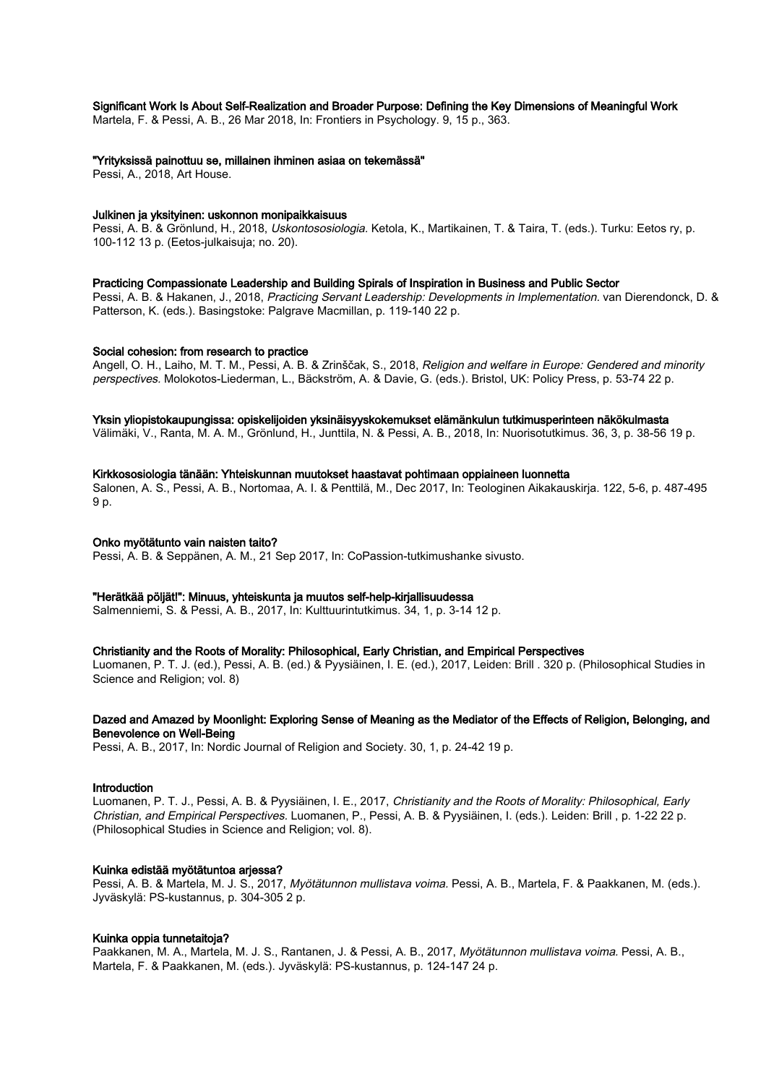## Significant Work Is About Self-Realization and Broader Purpose: Defining the Key Dimensions of Meaningful Work

Martela, F. & Pessi, A. B., 26 Mar 2018, In: Frontiers in Psychology. 9, 15 p., 363.

#### "Yrityksissä painottuu se, millainen ihminen asiaa on tekemässä"

Pessi, A., 2018, Art House.

## Julkinen ja yksityinen: uskonnon monipaikkaisuus

Pessi, A. B. & Grönlund, H., 2018, Uskontososiologia. Ketola, K., Martikainen, T. & Taira, T. (eds.). Turku: Eetos ry, p. 100-112 13 p. (Eetos-julkaisuja; no. 20).

#### Practicing Compassionate Leadership and Building Spirals of Inspiration in Business and Public Sector

Pessi, A. B. & Hakanen, J., 2018, Practicing Servant Leadership: Developments in Implementation. van Dierendonck, D. & Patterson, K. (eds.). Basingstoke: Palgrave Macmillan, p. 119-140 22 p.

#### Social cohesion: from research to practice

Angell, O. H., Laiho, M. T. M., Pessi, A. B. & Zrinščak, S., 2018, Religion and welfare in Europe: Gendered and minority perspectives. Molokotos-Liederman, L., Bäckström, A. & Davie, G. (eds.). Bristol, UK: Policy Press, p. 53-74 22 p.

#### Yksin yliopistokaupungissa: opiskelijoiden yksinäisyyskokemukset elämänkulun tutkimusperinteen näkökulmasta

Välimäki, V., Ranta, M. A. M., Grönlund, H., Junttila, N. & Pessi, A. B., 2018, In: Nuorisotutkimus. 36, 3, p. 38-56 19 p.

## Kirkkososiologia tänään: Yhteiskunnan muutokset haastavat pohtimaan oppiaineen luonnetta

Salonen, A. S., Pessi, A. B., Nortomaa, A. I. & Penttilä, M., Dec 2017, In: Teologinen Aikakauskirja. 122, 5-6, p. 487-495 9 p.

#### Onko myötätunto vain naisten taito?

Pessi, A. B. & Seppänen, A. M., 21 Sep 2017, In: CoPassion-tutkimushanke sivusto.

#### "Herätkää pöljät!": Minuus, yhteiskunta ja muutos self-help-kirjallisuudessa

Salmenniemi, S. & Pessi, A. B., 2017, In: Kulttuurintutkimus. 34, 1, p. 3-14 12 p.

#### Christianity and the Roots of Morality: Philosophical, Early Christian, and Empirical Perspectives

Luomanen, P. T. J. (ed.), Pessi, A. B. (ed.) & Pyysiäinen, I. E. (ed.), 2017, Leiden: Brill . 320 p. (Philosophical Studies in Science and Religion; vol. 8)

## Dazed and Amazed by Moonlight: Exploring Sense of Meaning as the Mediator of the Effects of Religion, Belonging, and Benevolence on Well-Being

Pessi, A. B., 2017, In: Nordic Journal of Religion and Society. 30, 1, p. 24-42 19 p.

#### Introduction

Luomanen, P. T. J., Pessi, A. B. & Pyysiäinen, I. E., 2017, Christianity and the Roots of Morality: Philosophical, Early Christian, and Empirical Perspectives. Luomanen, P., Pessi, A. B. & Pyysiäinen, I. (eds.). Leiden: Brill , p. 1-22 22 p. (Philosophical Studies in Science and Religion; vol. 8).

## Kuinka edistää myötätuntoa arjessa?

Pessi, A. B. & Martela, M. J. S., 2017, Myötätunnon mullistava voima. Pessi, A. B., Martela, F. & Paakkanen, M. (eds.). Jyväskylä: PS-kustannus, p. 304-305 2 p.

#### Kuinka oppia tunnetaitoja?

Paakkanen, M. A., Martela, M. J. S., Rantanen, J. & Pessi, A. B., 2017, Myötätunnon mullistava voima. Pessi, A. B., Martela, F. & Paakkanen, M. (eds.). Jyväskylä: PS-kustannus, p. 124-147 24 p.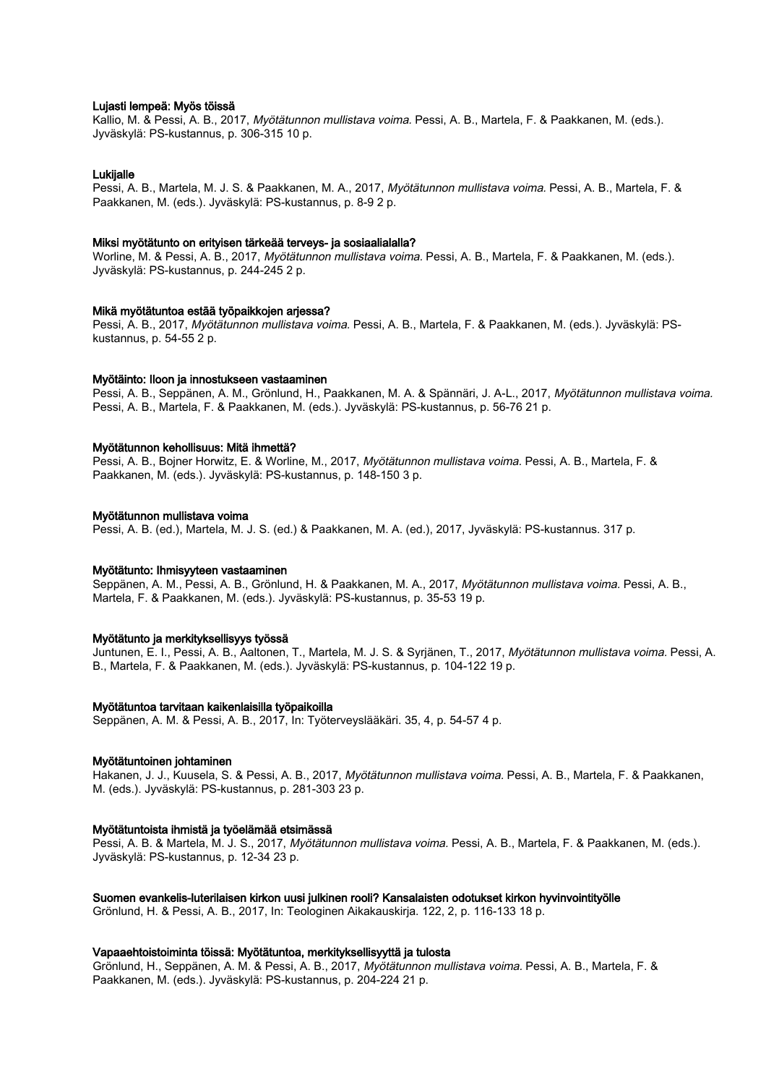### Lujasti lempeä: Myös töissä

Kallio, M. & Pessi, A. B., 2017, Myötätunnon mullistava voima. Pessi, A. B., Martela, F. & Paakkanen, M. (eds.). Jyväskylä: PS-kustannus, p. 306-315 10 p.

## **Lukijalle**

Pessi, A. B., Martela, M. J. S. & Paakkanen, M. A., 2017, Myötätunnon mullistava voima. Pessi, A. B., Martela, F. & Paakkanen, M. (eds.). Jyväskylä: PS-kustannus, p. 8-9 2 p.

#### Miksi myötätunto on erityisen tärkeää terveys- ja sosiaalialalla?

Worline, M. & Pessi, A. B., 2017, Myötätunnon mullistava voima. Pessi, A. B., Martela, F. & Paakkanen, M. (eds.). Jyväskylä: PS-kustannus, p. 244-245 2 p.

#### Mikä myötätuntoa estää työpaikkojen arjessa?

Pessi, A. B., 2017, Myötätunnon mullistava voima. Pessi, A. B., Martela, F. & Paakkanen, M. (eds.). Jyväskylä: PSkustannus, p. 54-55 2 p.

#### Myötäinto: Iloon ja innostukseen vastaaminen

Pessi, A. B., Seppänen, A. M., Grönlund, H., Paakkanen, M. A. & Spännäri, J. A-L., 2017, Myötätunnon mullistava voima. Pessi, A. B., Martela, F. & Paakkanen, M. (eds.). Jyväskylä: PS-kustannus, p. 56-76 21 p.

## Myötätunnon kehollisuus: Mitä ihmettä?

Pessi, A. B., Bojner Horwitz, E. & Worline, M., 2017, Myötätunnon mullistava voima. Pessi, A. B., Martela, F. & Paakkanen, M. (eds.). Jyväskylä: PS-kustannus, p. 148-150 3 p.

#### Myötätunnon mullistava voima

Pessi, A. B. (ed.), Martela, M. J. S. (ed.) & Paakkanen, M. A. (ed.), 2017, Jyväskylä: PS-kustannus. 317 p.

#### Myötätunto: Ihmisyyteen vastaaminen

Seppänen, A. M., Pessi, A. B., Grönlund, H. & Paakkanen, M. A., 2017, Myötätunnon mullistava voima. Pessi, A. B., Martela, F. & Paakkanen, M. (eds.). Jyväskylä: PS-kustannus, p. 35-53 19 p.

#### Myötätunto ja merkityksellisyys työssä

Juntunen, E. I., Pessi, A. B., Aaltonen, T., Martela, M. J. S. & Syrjänen, T., 2017, Myötätunnon mullistava voima. Pessi, A. B., Martela, F. & Paakkanen, M. (eds.). Jyväskylä: PS-kustannus, p. 104-122 19 p.

#### Myötätuntoa tarvitaan kaikenlaisilla työpaikoilla

Seppänen, A. M. & Pessi, A. B., 2017, In: Työterveyslääkäri. 35, 4, p. 54-57 4 p.

## Myötätuntoinen johtaminen

Hakanen, J. J., Kuusela, S. & Pessi, A. B., 2017, Myötätunnon mullistava voima. Pessi, A. B., Martela, F. & Paakkanen, M. (eds.). Jyväskylä: PS-kustannus, p. 281-303 23 p.

#### Myötätuntoista ihmistä ja työelämää etsimässä

Pessi, A. B. & Martela, M. J. S., 2017, Myötätunnon mullistava voima. Pessi, A. B., Martela, F. & Paakkanen, M. (eds.). Jyväskylä: PS-kustannus, p. 12-34 23 p.

#### Suomen evankelis-luterilaisen kirkon uusi julkinen rooli? Kansalaisten odotukset kirkon hyvinvointityölle

Grönlund, H. & Pessi, A. B., 2017, In: Teologinen Aikakauskirja. 122, 2, p. 116-133 18 p.

#### Vapaaehtoistoiminta töissä: Myötätuntoa, merkityksellisyyttä ja tulosta

Grönlund, H., Seppänen, A. M. & Pessi, A. B., 2017, Myötätunnon mullistava voima. Pessi, A. B., Martela, F. & Paakkanen, M. (eds.). Jyväskylä: PS-kustannus, p. 204-224 21 p.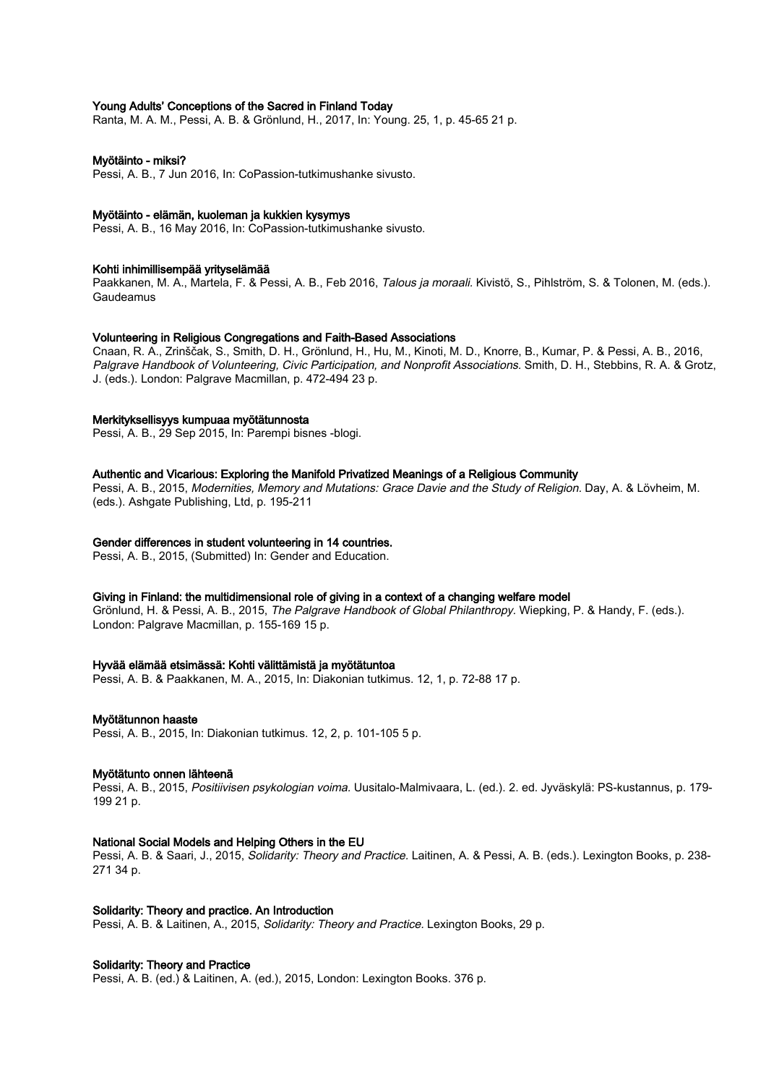## Young Adults' Conceptions of the Sacred in Finland Today

Ranta, M. A. M., Pessi, A. B. & Grönlund, H., 2017, In: Young. 25, 1, p. 45-65 21 p.

#### Myötäinto - miksi?

Pessi, A. B., 7 Jun 2016, In: CoPassion-tutkimushanke sivusto.

#### Myötäinto - elämän, kuoleman ja kukkien kysymys

Pessi, A. B., 16 May 2016, In: CoPassion-tutkimushanke sivusto.

## Kohti inhimillisempää yrityselämää

Paakkanen, M. A., Martela, F. & Pessi, A. B., Feb 2016, Talous ja moraali. Kivistö, S., Pihlström, S. & Tolonen, M. (eds.). Gaudeamus

## Volunteering in Religious Congregations and Faith-Based Associations

Cnaan, R. A., Zrinščak, S., Smith, D. H., Grönlund, H., Hu, M., Kinoti, M. D., Knorre, B., Kumar, P. & Pessi, A. B., 2016, Palgrave Handbook of Volunteering, Civic Participation, and Nonprofit Associations. Smith, D. H., Stebbins, R. A. & Grotz, J. (eds.). London: Palgrave Macmillan, p. 472-494 23 p.

#### Merkityksellisyys kumpuaa myötätunnosta

Pessi, A. B., 29 Sep 2015, In: Parempi bisnes -blogi.

## Authentic and Vicarious: Exploring the Manifold Privatized Meanings of a Religious Community

Pessi, A. B., 2015, Modernities, Memory and Mutations: Grace Davie and the Study of Religion. Day, A. & Lövheim, M. (eds.). Ashgate Publishing, Ltd, p. 195-211

## Gender differences in student volunteering in 14 countries.

Pessi, A. B., 2015, (Submitted) In: Gender and Education.

#### Giving in Finland: the multidimensional role of giving in a context of a changing welfare model

Grönlund, H. & Pessi, A. B., 2015, The Palgrave Handbook of Global Philanthropy. Wiepking, P. & Handy, F. (eds.). London: Palgrave Macmillan, p. 155-169 15 p.

#### Hyvää elämää etsimässä: Kohti välittämistä ja myötätuntoa

Pessi, A. B. & Paakkanen, M. A., 2015, In: Diakonian tutkimus. 12, 1, p. 72-88 17 p.

#### Myötätunnon haaste

Pessi, A. B., 2015, In: Diakonian tutkimus. 12, 2, p. 101-105 5 p.

#### Myötätunto onnen lähteenä

Pessi, A. B., 2015, Positiivisen psykologian voima. Uusitalo-Malmivaara, L. (ed.). 2. ed. Jyväskylä: PS-kustannus, p. 179- 199 21 p.

#### National Social Models and Helping Others in the EU

Pessi, A. B. & Saari, J., 2015, Solidarity: Theory and Practice. Laitinen, A. & Pessi, A. B. (eds.). Lexington Books, p. 238-271 34 p.

#### Solidarity: Theory and practice. An Introduction

Pessi, A. B. & Laitinen, A., 2015, Solidarity: Theory and Practice. Lexington Books, 29 p.

## Solidarity: Theory and Practice

Pessi, A. B. (ed.) & Laitinen, A. (ed.), 2015, London: Lexington Books. 376 p.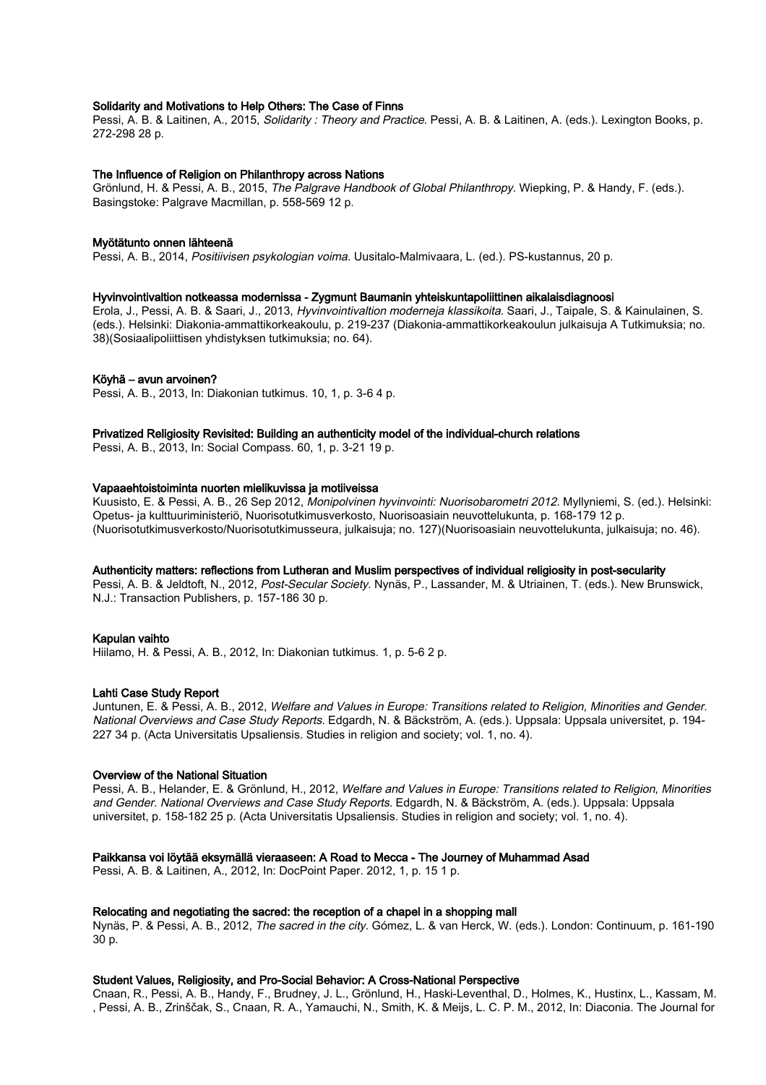## Solidarity and Motivations to Help Others: The Case of Finns

Pessi, A. B. & Laitinen, A., 2015, Solidarity : Theory and Practice. Pessi, A. B. & Laitinen, A. (eds.). Lexington Books, p. 272-298 28 p.

#### The Influence of Religion on Philanthropy across Nations

Grönlund, H. & Pessi, A. B., 2015, The Palgrave Handbook of Global Philanthropy. Wiepking, P. & Handy, F. (eds.). Basingstoke: Palgrave Macmillan, p. 558-569 12 p.

#### Myötätunto onnen lähteenä

Pessi, A. B., 2014, Positiivisen psykologian voima. Uusitalo-Malmivaara, L. (ed.). PS-kustannus, 20 p.

#### Hyvinvointivaltion notkeassa modernissa - Zygmunt Baumanin yhteiskuntapoliittinen aikalaisdiagnoosi

Erola, J., Pessi, A. B. & Saari, J., 2013, Hyvinvointivaltion moderneja klassikoita. Saari, J., Taipale, S. & Kainulainen, S. (eds.). Helsinki: Diakonia-ammattikorkeakoulu, p. 219-237 (Diakonia-ammattikorkeakoulun julkaisuja A Tutkimuksia; no. 38)(Sosiaalipoliittisen yhdistyksen tutkimuksia; no. 64).

#### Köyhä – avun arvoinen?

Pessi, A. B., 2013, In: Diakonian tutkimus. 10, 1, p. 3-6 4 p.

## Privatized Religiosity Revisited: Building an authenticity model of the individual-church relations

Pessi, A. B., 2013, In: Social Compass. 60, 1, p. 3-21 19 p.

## Vapaaehtoistoiminta nuorten mielikuvissa ja motiiveissa

Kuusisto, E. & Pessi, A. B., 26 Sep 2012, Monipolvinen hyvinvointi: Nuorisobarometri 2012. Myllyniemi, S. (ed.). Helsinki: Opetus- ja kulttuuriministeriö, Nuorisotutkimusverkosto, Nuorisoasiain neuvottelukunta, p. 168-179 12 p. (Nuorisotutkimusverkosto/Nuorisotutkimusseura, julkaisuja; no. 127)(Nuorisoasiain neuvottelukunta, julkaisuja; no. 46).

## Authenticity matters: reflections from Lutheran and Muslim perspectives of individual religiosity in post-secularity

Pessi, A. B. & Jeldtoft, N., 2012, Post-Secular Society. Nynäs, P., Lassander, M. & Utriainen, T. (eds.). New Brunswick, N.J.: Transaction Publishers, p. 157-186 30 p.

#### Kapulan vaihto

Hiilamo, H. & Pessi, A. B., 2012, In: Diakonian tutkimus. 1, p. 5-6 2 p.

#### Lahti Case Study Report

Juntunen, E. & Pessi, A. B., 2012, Welfare and Values in Europe: Transitions related to Religion, Minorities and Gender. National Overviews and Case Study Reports. Edgardh, N. & Bäckström, A. (eds.). Uppsala: Uppsala universitet, p. 194- 227 34 p. (Acta Universitatis Upsaliensis. Studies in religion and society; vol. 1, no. 4).

## Overview of the National Situation

Pessi, A. B., Helander, E. & Grönlund, H., 2012, Welfare and Values in Europe: Transitions related to Religion, Minorities and Gender. National Overviews and Case Study Reports. Edgardh, N. & Bäckström, A. (eds.). Uppsala: Uppsala universitet, p. 158-182 25 p. (Acta Universitatis Upsaliensis. Studies in religion and society; vol. 1, no. 4).

## Paikkansa voi löytää eksymällä vieraaseen: A Road to Mecca - The Journey of Muhammad Asad

Pessi, A. B. & Laitinen, A., 2012, In: DocPoint Paper. 2012, 1, p. 15 1 p.

#### Relocating and negotiating the sacred: the reception of a chapel in a shopping mall

Nynäs, P. & Pessi, A. B., 2012, The sacred in the city. Gómez, L. & van Herck, W. (eds.). London: Continuum, p. 161-190 30 p.

## Student Values, Religiosity, and Pro-Social Behavior: A Cross-National Perspective

Cnaan, R., Pessi, A. B., Handy, F., Brudney, J. L., Grönlund, H., Haski-Leventhal, D., Holmes, K., Hustinx, L., Kassam, M. , Pessi, A. B., Zrinščak, S., Cnaan, R. A., Yamauchi, N., Smith, K. & Meijs, L. C. P. M., 2012, In: Diaconia. The Journal for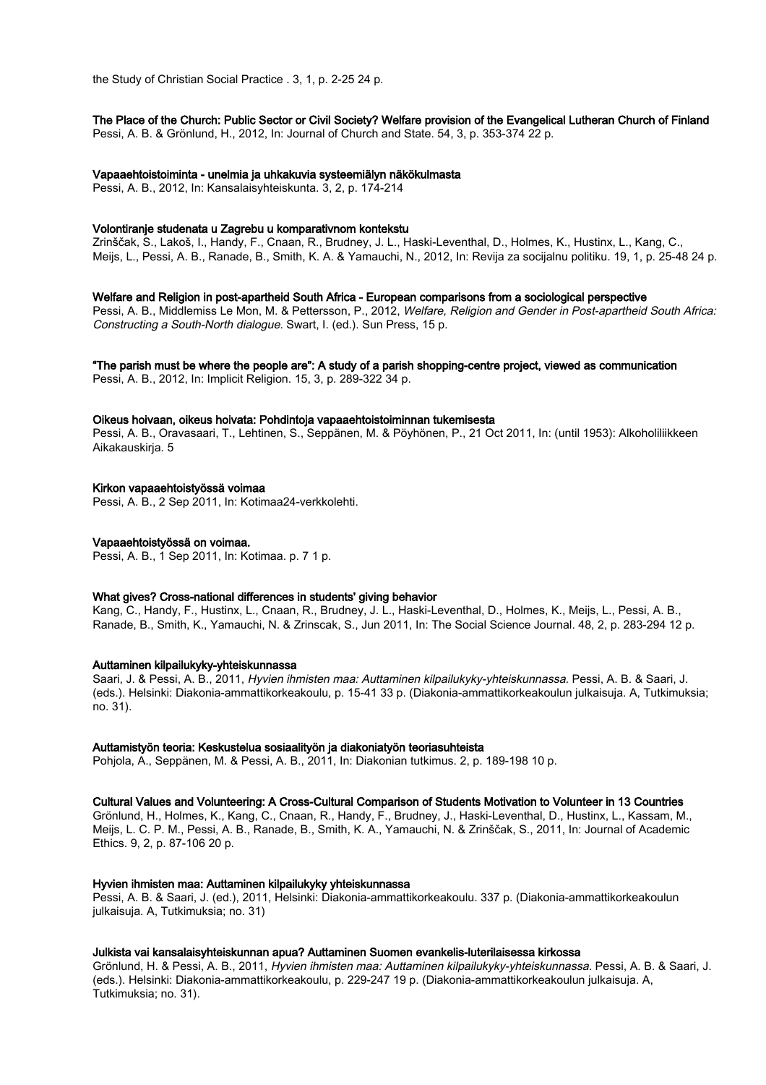the Study of Christian Social Practice . 3, 1, p. 2-25 24 p.

## The Place of the Church: Public Sector or Civil Society? Welfare provision of the Evangelical Lutheran Church of Finland

Pessi, A. B. & Grönlund, H., 2012, In: Journal of Church and State. 54, 3, p. 353-374 22 p.

## Vapaaehtoistoiminta - unelmia ja uhkakuvia systeemiälyn näkökulmasta

Pessi, A. B., 2012, In: Kansalaisyhteiskunta. 3, 2, p. 174-214

## Volontiranje studenata u Zagrebu u komparativnom kontekstu

Zrinščak, S., Lakoš, I., Handy, F., Cnaan, R., Brudney, J. L., Haski-Leventhal, D., Holmes, K., Hustinx, L., Kang, C., Meijs, L., Pessi, A. B., Ranade, B., Smith, K. A. & Yamauchi, N., 2012, In: Revija za socijalnu politiku. 19, 1, p. 25-48 24 p.

## Welfare and Religion in post-apartheid South Africa - European comparisons from a sociological perspective

Pessi, A. B., Middlemiss Le Mon, M. & Pettersson, P., 2012, Welfare, Religion and Gender in Post-apartheid South Africa: Constructing a South-North dialogue. Swart, I. (ed.). Sun Press, 15 p.

## "The parish must be where the people are": A study of a parish shopping-centre project, viewed as communication

Pessi, A. B., 2012, In: Implicit Religion. 15, 3, p. 289-322 34 p.

## Oikeus hoivaan, oikeus hoivata: Pohdintoja vapaaehtoistoiminnan tukemisesta

Pessi, A. B., Oravasaari, T., Lehtinen, S., Seppänen, M. & Pöyhönen, P., 21 Oct 2011, In: (until 1953): Alkoholiliikkeen Aikakauskirja. 5

## Kirkon vapaaehtoistyössä voimaa

Pessi, A. B., 2 Sep 2011, In: Kotimaa24-verkkolehti.

## Vapaaehtoistyössä on voimaa.

Pessi, A. B., 1 Sep 2011, In: Kotimaa. p. 7 1 p.

## What gives? Cross-national differences in students' giving behavior

Kang, C., Handy, F., Hustinx, L., Cnaan, R., Brudney, J. L., Haski-Leventhal, D., Holmes, K., Meijs, L., Pessi, A. B., Ranade, B., Smith, K., Yamauchi, N. & Zrinscak, S., Jun 2011, In: The Social Science Journal. 48, 2, p. 283-294 12 p.

## Auttaminen kilpailukyky-yhteiskunnassa

Saari, J. & Pessi, A. B., 2011, Hyvien ihmisten maa: Auttaminen kilpailukyky-yhteiskunnassa. Pessi, A. B. & Saari, J. (eds.). Helsinki: Diakonia-ammattikorkeakoulu, p. 15-41 33 p. (Diakonia-ammattikorkeakoulun julkaisuja. A, Tutkimuksia; no. 31).

## Auttamistyön teoria: Keskustelua sosiaalityön ja diakoniatyön teoriasuhteista

Pohjola, A., Seppänen, M. & Pessi, A. B., 2011, In: Diakonian tutkimus. 2, p. 189-198 10 p.

## Cultural Values and Volunteering: A Cross-Cultural Comparison of Students Motivation to Volunteer in 13 Countries

Grönlund, H., Holmes, K., Kang, C., Cnaan, R., Handy, F., Brudney, J., Haski-Leventhal, D., Hustinx, L., Kassam, M., Meijs, L. C. P. M., Pessi, A. B., Ranade, B., Smith, K. A., Yamauchi, N. & Zrinščak, S., 2011, In: Journal of Academic Ethics. 9, 2, p. 87-106 20 p.

## Hyvien ihmisten maa: Auttaminen kilpailukyky yhteiskunnassa

Pessi, A. B. & Saari, J. (ed.), 2011, Helsinki: Diakonia-ammattikorkeakoulu. 337 p. (Diakonia-ammattikorkeakoulun julkaisuja. A, Tutkimuksia; no. 31)

## Julkista vai kansalaisyhteiskunnan apua? Auttaminen Suomen evankelis-luterilaisessa kirkossa

Grönlund, H. & Pessi, A. B., 2011, Hyvien ihmisten maa: Auttaminen kilpailukyky-yhteiskunnassa. Pessi, A. B. & Saari, J. (eds.). Helsinki: Diakonia-ammattikorkeakoulu, p. 229-247 19 p. (Diakonia-ammattikorkeakoulun julkaisuja. A, Tutkimuksia; no. 31).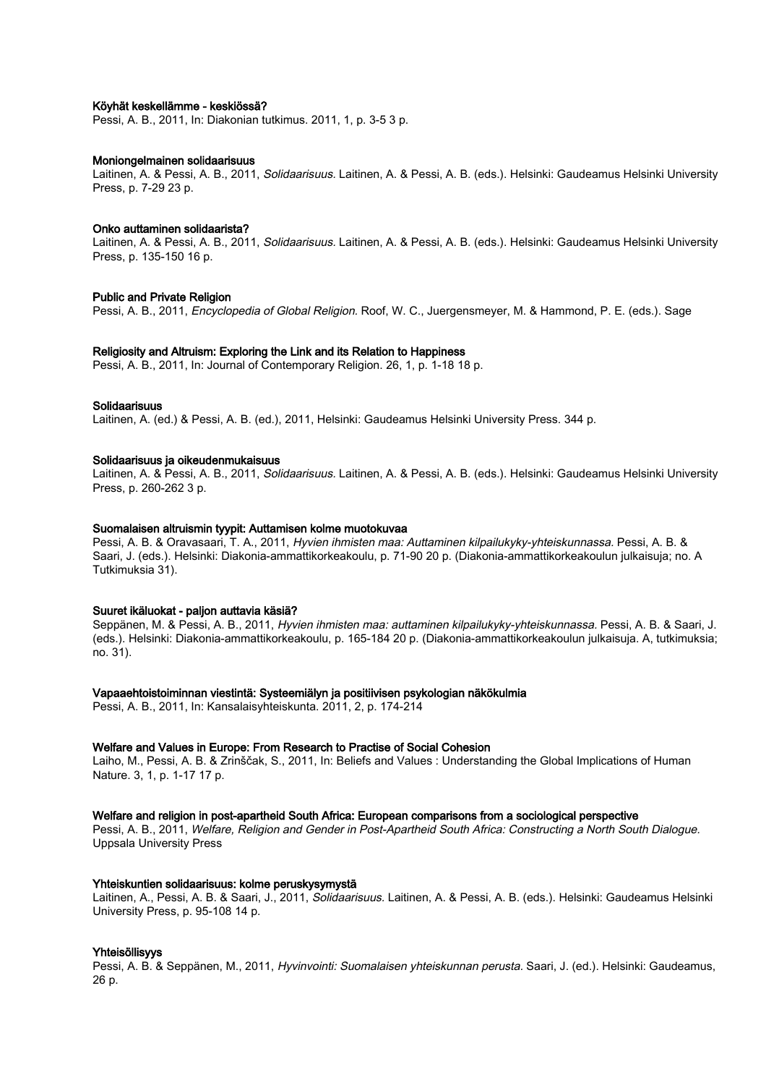#### Köyhät keskellämme - keskiössä?

Pessi, A. B., 2011, In: Diakonian tutkimus. 2011, 1, p. 3-5 3 p.

#### Moniongelmainen solidaarisuus

Laitinen, A. & Pessi, A. B., 2011, Solidaarisuus. Laitinen, A. & Pessi, A. B. (eds.). Helsinki: Gaudeamus Helsinki University Press, p. 7-29 23 p.

#### Onko auttaminen solidaarista?

Laitinen, A. & Pessi, A. B., 2011, *Solidaarisuus*, Laitinen, A. & Pessi, A. B. (eds.). Helsinki: Gaudeamus Helsinki University Press, p. 135-150 16 p.

#### Public and Private Religion

Pessi, A. B., 2011, *Encyclopedia of Global Religion.* Roof, W. C., Juergensmeyer, M. & Hammond, P. E. (eds.). Sage

#### Religiosity and Altruism: Exploring the Link and its Relation to Happiness

Pessi, A. B., 2011, In: Journal of Contemporary Religion. 26, 1, p. 1-18 18 p.

#### Solidaarisuus

Laitinen, A. (ed.) & Pessi, A. B. (ed.), 2011, Helsinki: Gaudeamus Helsinki University Press. 344 p.

#### Solidaarisuus ja oikeudenmukaisuus

Laitinen, A. & Pessi, A. B., 2011, Solidaarisuus. Laitinen, A. & Pessi, A. B. (eds.). Helsinki: Gaudeamus Helsinki University Press, p. 260-262 3 p.

#### Suomalaisen altruismin tyypit: Auttamisen kolme muotokuvaa

Pessi, A. B. & Oravasaari, T. A., 2011, Hyvien ihmisten maa: Auttaminen kilpailukyky-yhteiskunnassa. Pessi, A. B. & Saari, J. (eds.). Helsinki: Diakonia-ammattikorkeakoulu, p. 71-90 20 p. (Diakonia-ammattikorkeakoulun julkaisuja; no. A Tutkimuksia 31).

#### Suuret ikäluokat - paljon auttavia käsiä?

Seppänen, M. & Pessi, A. B., 2011, Hyvien ihmisten maa: auttaminen kilpailukyky-yhteiskunnassa. Pessi, A. B. & Saari, J. (eds.). Helsinki: Diakonia-ammattikorkeakoulu, p. 165-184 20 p. (Diakonia-ammattikorkeakoulun julkaisuja. A, tutkimuksia; no. 31).

#### Vapaaehtoistoiminnan viestintä: Systeemiälyn ja positiivisen psykologian näkökulmia

Pessi, A. B., 2011, In: Kansalaisyhteiskunta. 2011, 2, p. 174-214

#### Welfare and Values in Europe: From Research to Practise of Social Cohesion

Laiho, M., Pessi, A. B. & Zrinščak, S., 2011, In: Beliefs and Values : Understanding the Global Implications of Human Nature. 3, 1, p. 1-17 17 p.

#### Welfare and religion in post-apartheid South Africa: European comparisons from a sociological perspective

Pessi, A. B., 2011, Welfare, Religion and Gender in Post-Apartheid South Africa: Constructing a North South Dialogue. Uppsala University Press

#### Yhteiskuntien solidaarisuus: kolme peruskysymystä

Laitinen, A., Pessi, A. B. & Saari, J., 2011, *Solidaarisuus*, Laitinen, A. & Pessi, A. B. (eds.). Helsinki: Gaudeamus Helsinki University Press, p. 95-108 14 p.

#### Yhteisöllisyys

Pessi, A. B. & Seppänen, M., 2011, Hyvinvointi: Suomalaisen yhteiskunnan perusta. Saari, J. (ed.). Helsinki: Gaudeamus, 26 p.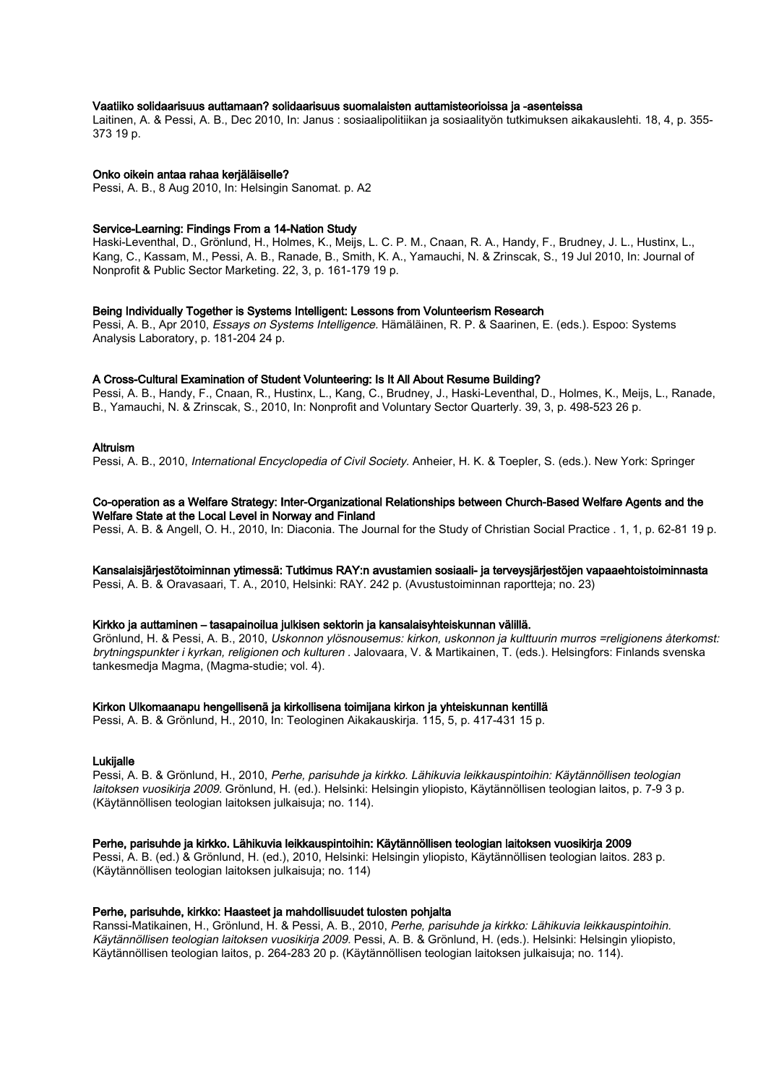### Vaatiiko solidaarisuus auttamaan? solidaarisuus suomalaisten auttamisteorioissa ja -asenteissa

Laitinen, A. & Pessi, A. B., Dec 2010, In: Janus : sosiaalipolitiikan ja sosiaalityön tutkimuksen aikakauslehti. 18, 4, p. 355- 373 19 p.

#### Onko oikein antaa rahaa kerjäläiselle?

Pessi, A. B., 8 Aug 2010, In: Helsingin Sanomat. p. A2

#### Service-Learning: Findings From a 14-Nation Study

Haski-Leventhal, D., Grönlund, H., Holmes, K., Meijs, L. C. P. M., Cnaan, R. A., Handy, F., Brudney, J. L., Hustinx, L., Kang, C., Kassam, M., Pessi, A. B., Ranade, B., Smith, K. A., Yamauchi, N. & Zrinscak, S., 19 Jul 2010, In: Journal of Nonprofit & Public Sector Marketing. 22, 3, p. 161-179 19 p.

#### Being Individually Together is Systems Intelligent: Lessons from Volunteerism Research

Pessi, A. B., Apr 2010, Essays on Systems Intelligence. Hämäläinen, R. P. & Saarinen, E. (eds.). Espoo: Systems Analysis Laboratory, p. 181-204 24 p.

## A Cross-Cultural Examination of Student Volunteering: Is It All About Resume Building?

Pessi, A. B., Handy, F., Cnaan, R., Hustinx, L., Kang, C., Brudney, J., Haski-Leventhal, D., Holmes, K., Meijs, L., Ranade, B., Yamauchi, N. & Zrinscak, S., 2010, In: Nonprofit and Voluntary Sector Quarterly. 39, 3, p. 498-523 26 p.

## Altruism

Pessi, A. B., 2010, International Encyclopedia of Civil Society. Anheier, H. K. & Toepler, S. (eds.). New York: Springer

#### Co-operation as a Welfare Strategy: Inter-Organizational Relationships between Church-Based Welfare Agents and the Welfare State at the Local Level in Norway and Finland

Pessi, A. B. & Angell, O. H., 2010, In: Diaconia. The Journal for the Study of Christian Social Practice . 1, 1, p. 62-81 19 p.

Kansalaisjärjestötoiminnan ytimessä: Tutkimus RAY:n avustamien sosiaali- ja terveysjärjestöjen vapaaehtoistoiminnasta Pessi, A. B. & Oravasaari, T. A., 2010, Helsinki: RAY. 242 p. (Avustustoiminnan raportteja; no. 23)

#### Kirkko ja auttaminen – tasapainoilua julkisen sektorin ja kansalaisyhteiskunnan välillä.

Grönlund, H. & Pessi, A. B., 2010, Uskonnon ylösnousemus: kirkon, uskonnon ja kulttuurin murros =religionens återkomst: brytningspunkter i kyrkan, religionen och kulturen . Jalovaara, V. & Martikainen, T. (eds.). Helsingfors: Finlands svenska tankesmedja Magma, (Magma-studie; vol. 4).

## Kirkon Ulkomaanapu hengellisenä ja kirkollisena toimijana kirkon ja yhteiskunnan kentillä

Pessi, A. B. & Grönlund, H., 2010, In: Teologinen Aikakauskirja. 115, 5, p. 417-431 15 p.

## Lukijalle

Pessi, A. B. & Grönlund, H., 2010, Perhe, parisuhde ja kirkko. Lähikuvia leikkauspintoihin: Käytännöllisen teologian laitoksen vuosikirja 2009. Grönlund, H. (ed.). Helsinki: Helsingin yliopisto, Käytännöllisen teologian laitos, p. 7-9 3 p. (Käytännöllisen teologian laitoksen julkaisuja; no. 114).

## Perhe, parisuhde ja kirkko. Lähikuvia leikkauspintoihin: Käytännöllisen teologian laitoksen vuosikirja 2009

Pessi, A. B. (ed.) & Grönlund, H. (ed.), 2010, Helsinki: Helsingin yliopisto, Käytännöllisen teologian laitos. 283 p. (Käytännöllisen teologian laitoksen julkaisuja; no. 114)

#### Perhe, parisuhde, kirkko: Haasteet ja mahdollisuudet tulosten pohjalta

Ranssi-Matikainen, H., Grönlund, H. & Pessi, A. B., 2010, Perhe, parisuhde ja kirkko: Lähikuvia leikkauspintoihin. Käytännöllisen teologian laitoksen vuosikirja 2009. Pessi, A. B. & Grönlund, H. (eds.). Helsinki: Helsingin yliopisto, Käytännöllisen teologian laitos, p. 264-283 20 p. (Käytännöllisen teologian laitoksen julkaisuja; no. 114).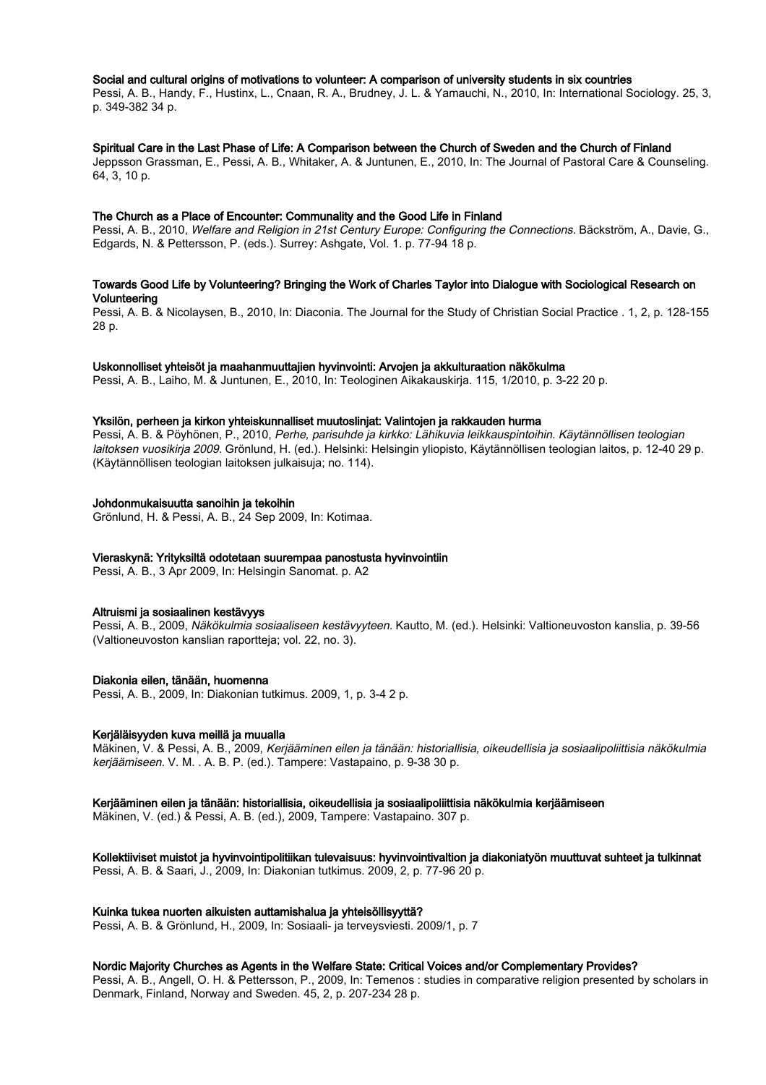## Social and cultural origins of motivations to volunteer: A comparison of university students in six countries

Pessi, A. B., Handy, F., Hustinx, L., Cnaan, R. A., Brudney, J. L. & Yamauchi, N., 2010, In: International Sociology. 25, 3, p. 349-382 34 p.

#### Spiritual Care in the Last Phase of Life: A Comparison between the Church of Sweden and the Church of Finland

Jeppsson Grassman, E., Pessi, A. B., Whitaker, A. & Juntunen, E., 2010, In: The Journal of Pastoral Care & Counseling. 64, 3, 10 p.

## The Church as a Place of Encounter: Communality and the Good Life in Finland

Pessi, A. B., 2010, Welfare and Religion in 21st Century Europe: Configuring the Connections. Bäckström, A., Davie, G., Edgards, N. & Pettersson, P. (eds.). Surrey: Ashgate, Vol. 1. p. 77-94 18 p.

## Towards Good Life by Volunteering? Bringing the Work of Charles Taylor into Dialogue with Sociological Research on Volunteering

Pessi, A. B. & Nicolaysen, B., 2010, In: Diaconia. The Journal for the Study of Christian Social Practice . 1, 2, p. 128-155 28 p.

#### Uskonnolliset yhteisöt ja maahanmuuttajien hyvinvointi: Arvojen ja akkulturaation näkökulma

Pessi, A. B., Laiho, M. & Juntunen, E., 2010, In: Teologinen Aikakauskirja. 115, 1/2010, p. 3-22 20 p.

## Yksilön, perheen ja kirkon yhteiskunnalliset muutoslinjat: Valintojen ja rakkauden hurma

Pessi, A. B. & Pöyhönen, P., 2010, Perhe, parisuhde ja kirkko: Lähikuvia leikkauspintoihin. Käytännöllisen teologian laitoksen vuosikirja 2009. Grönlund, H. (ed.). Helsinki: Helsingin yliopisto, Käytännöllisen teologian laitos, p. 12-40 29 p. (Käytännöllisen teologian laitoksen julkaisuja; no. 114).

## Johdonmukaisuutta sanoihin ja tekoihin

Grönlund, H. & Pessi, A. B., 24 Sep 2009, In: Kotimaa.

#### Vieraskynä: Yrityksiltä odotetaan suurempaa panostusta hyvinvointiin

Pessi, A. B., 3 Apr 2009, In: Helsingin Sanomat. p. A2

## Altruismi ja sosiaalinen kestävyys

Pessi, A. B., 2009, Näkökulmia sosiaaliseen kestävyyteen. Kautto, M. (ed.). Helsinki: Valtioneuvoston kanslia, p. 39-56 (Valtioneuvoston kanslian raportteja; vol. 22, no. 3).

## Diakonia eilen, tänään, huomenna

Pessi, A. B., 2009, In: Diakonian tutkimus. 2009, 1, p. 3-4 2 p.

#### Kerjäläisyyden kuva meillä ja muualla

Mäkinen, V. & Pessi, A. B., 2009, Kerjääminen eilen ja tänään: historiallisia, oikeudellisia ja sosiaalipoliittisia näkökulmia kerjäämiseen. V. M. . A. B. P. (ed.). Tampere: Vastapaino, p. 9-38 30 p.

#### Kerjääminen eilen ja tänään: historiallisia, oikeudellisia ja sosiaalipoliittisia näkökulmia kerjäämiseen

Mäkinen, V. (ed.) & Pessi, A. B. (ed.), 2009, Tampere: Vastapaino. 307 p.

## Kollektiiviset muistot ja hyvinvointipolitiikan tulevaisuus: hyvinvointivaltion ja diakoniatyön muuttuvat suhteet ja tulkinnat Pessi, A. B. & Saari, J., 2009, In: Diakonian tutkimus. 2009, 2, p. 77-96 20 p.

#### Kuinka tukea nuorten aikuisten auttamishalua ja yhteisöllisyyttä?

Pessi, A. B. & Grönlund, H., 2009, In: Sosiaali- ja terveysviesti. 2009/1, p. 7

#### Nordic Majority Churches as Agents in the Welfare State: Critical Voices and/or Complementary Provides?

Pessi, A. B., Angell, O. H. & Pettersson, P., 2009, In: Temenos : studies in comparative religion presented by scholars in Denmark, Finland, Norway and Sweden. 45, 2, p. 207-234 28 p.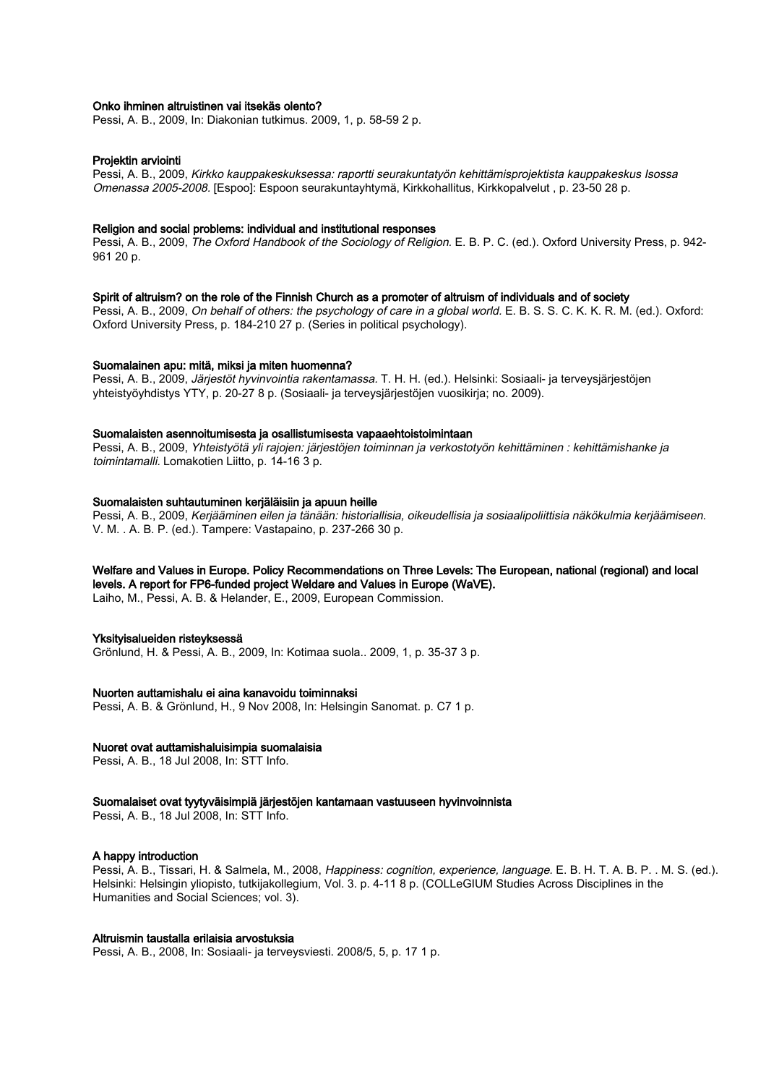## Onko ihminen altruistinen vai itsekäs olento?

Pessi, A. B., 2009, In: Diakonian tutkimus. 2009, 1, p. 58-59 2 p.

## Projektin arviointi

Pessi, A. B., 2009, Kirkko kauppakeskuksessa: raportti seurakuntatyön kehittämisprojektista kauppakeskus Isossa Omenassa 2005-2008. [Espoo]: Espoon seurakuntayhtymä, Kirkkohallitus, Kirkkopalvelut , p. 23-50 28 p.

#### Religion and social problems: individual and institutional responses

Pessi, A. B., 2009, The Oxford Handbook of the Sociology of Religion, E. B. P. C. (ed.). Oxford University Press, p. 942-961 20 p.

## Spirit of altruism? on the role of the Finnish Church as a promoter of altruism of individuals and of society

Pessi, A. B., 2009, On behalf of others: the psychology of care in a global world. E. B. S. S. C. K. K. R. M. (ed.). Oxford: Oxford University Press, p. 184-210 27 p. (Series in political psychology).

#### Suomalainen apu: mitä, miksi ja miten huomenna?

Pessi, A. B., 2009, Järjestöt hyvinvointia rakentamassa. T. H. H. (ed.). Helsinki: Sosiaali- ja terveysjärjestöjen yhteistyöyhdistys YTY, p. 20-27 8 p. (Sosiaali- ja terveysjärjestöjen vuosikirja; no. 2009).

#### Suomalaisten asennoitumisesta ja osallistumisesta vapaaehtoistoimintaan

Pessi, A. B., 2009, Yhteistyötä yli rajojen: järjestöjen toiminnan ja verkostotyön kehittäminen : kehittämishanke ja toimintamalli. Lomakotien Liitto, p. 14-16 3 p.

#### Suomalaisten suhtautuminen kerjäläisiin ja apuun heille

Pessi, A. B., 2009, Kerjääminen eilen ja tänään: historiallisia, oikeudellisia ja sosiaalipoliittisia näkökulmia kerjäämiseen. V. M. . A. B. P. (ed.). Tampere: Vastapaino, p. 237-266 30 p.

# Welfare and Values in Europe. Policy Recommendations on Three Levels: The European, national (regional) and local levels. A report for FP6-funded project Weldare and Values in Europe (WaVE).

Laiho, M., Pessi, A. B. & Helander, E., 2009, European Commission.

#### Yksityisalueiden risteyksessä

Grönlund, H. & Pessi, A. B., 2009, In: Kotimaa suola.. 2009, 1, p. 35-37 3 p.

#### Nuorten auttamishalu ei aina kanavoidu toiminnaksi

Pessi, A. B. & Grönlund, H., 9 Nov 2008, In: Helsingin Sanomat. p. C7 1 p.

#### Nuoret ovat auttamishaluisimpia suomalaisia

Pessi, A. B., 18 Jul 2008, In: STT Info.

#### Suomalaiset ovat tyytyväisimpiä järjestöjen kantamaan vastuuseen hyvinvoinnista

Pessi, A. B., 18 Jul 2008, In: STT Info.

#### A happy introduction

Pessi, A. B., Tissari, H. & Salmela, M., 2008, Happiness: cognition, experience, language. E. B. H. T. A. B. P. . M. S. (ed.). Helsinki: Helsingin yliopisto, tutkijakollegium, Vol. 3. p. 4-11 8 p. (COLLeGIUM Studies Across Disciplines in the Humanities and Social Sciences; vol. 3).

## Altruismin taustalla erilaisia arvostuksia

Pessi, A. B., 2008, In: Sosiaali- ja terveysviesti. 2008/5, 5, p. 17 1 p.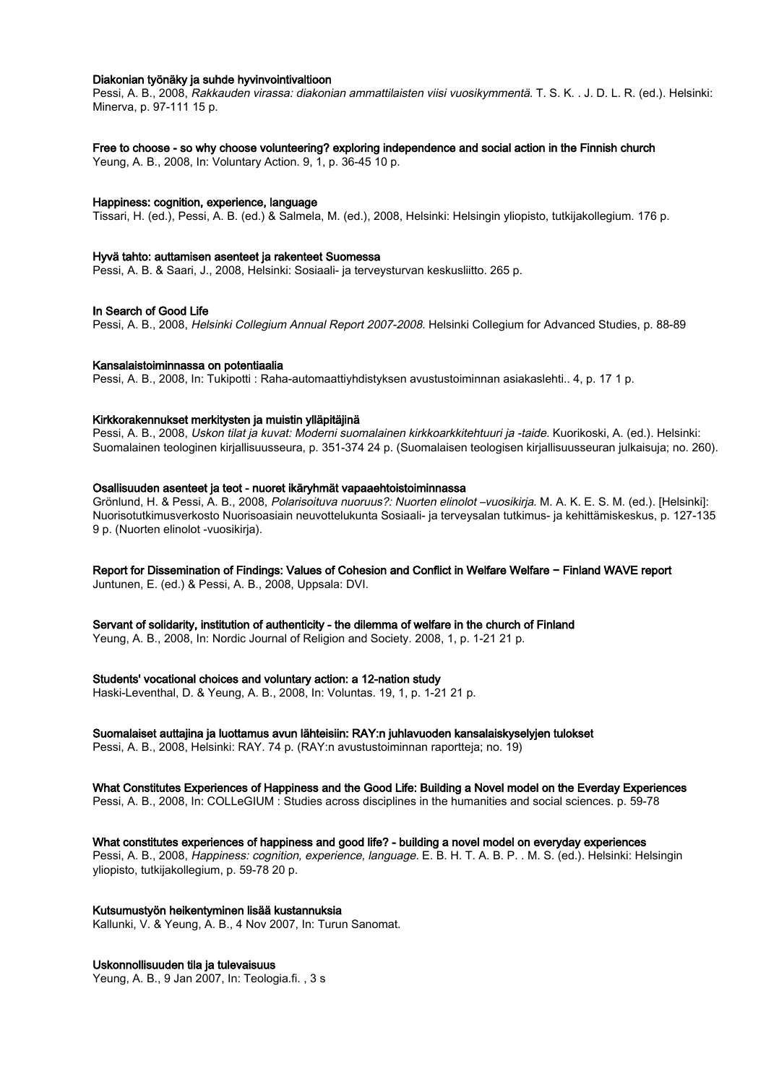## Diakonian työnäky ja suhde hyvinvointivaltioon

Pessi, A. B., 2008, Rakkauden virassa: diakonian ammattilaisten viisi vuosikymmentä. T. S. K. . J. D. L. R. (ed.). Helsinki: Minerva, p. 97-111 15 p.

#### Free to choose - so why choose volunteering? exploring independence and social action in the Finnish church

Yeung, A. B., 2008, In: Voluntary Action. 9, 1, p. 36-45 10 p.

#### Happiness: cognition, experience, language

Tissari, H. (ed.), Pessi, A. B. (ed.) & Salmela, M. (ed.), 2008, Helsinki: Helsingin yliopisto, tutkijakollegium. 176 p.

#### Hyvä tahto: auttamisen asenteet ja rakenteet Suomessa

Pessi, A. B. & Saari, J., 2008, Helsinki: Sosiaali- ja terveysturvan keskusliitto. 265 p.

#### In Search of Good Life

Pessi, A. B., 2008, Helsinki Collegium Annual Report 2007-2008. Helsinki Collegium for Advanced Studies, p. 88-89

#### Kansalaistoiminnassa on potentiaalia

Pessi, A. B., 2008, In: Tukipotti : Raha-automaattiyhdistyksen avustustoiminnan asiakaslehti.. 4, p. 17 1 p.

## Kirkkorakennukset merkitysten ja muistin ylläpitäjinä

Pessi, A. B., 2008, Uskon tilat ja kuvat: Moderni suomalainen kirkkoarkkitehtuuri ja -taide. Kuorikoski, A. (ed.). Helsinki: Suomalainen teologinen kirjallisuusseura, p. 351-374 24 p. (Suomalaisen teologisen kirjallisuusseuran julkaisuja; no. 260).

#### Osallisuuden asenteet ja teot - nuoret ikäryhmät vapaaehtoistoiminnassa

Grönlund, H. & Pessi, A. B., 2008, Polarisoituva nuoruus?: Nuorten elinolot –vuosikirja. M. A. K. E. S. M. (ed.). [Helsinki]: Nuorisotutkimusverkosto Nuorisoasiain neuvottelukunta Sosiaali- ja terveysalan tutkimus- ja kehittämiskeskus, p. 127-135 9 p. (Nuorten elinolot -vuosikirja).

## Report for Dissemination of Findings: Values of Cohesion and Conflict in Welfare Welfare − Finland WAVE report

Juntunen, E. (ed.) & Pessi, A. B., 2008, Uppsala: DVI.

Servant of solidarity, institution of authenticity - the dilemma of welfare in the church of Finland

Yeung, A. B., 2008, In: Nordic Journal of Religion and Society. 2008, 1, p. 1-21 21 p.

#### Students' vocational choices and voluntary action: a 12-nation study

Haski-Leventhal, D. & Yeung, A. B., 2008, In: Voluntas. 19, 1, p. 1-21 21 p.

## Suomalaiset auttajina ja luottamus avun lähteisiin: RAY:n juhlavuoden kansalaiskyselyjen tulokset

Pessi, A. B., 2008, Helsinki: RAY. 74 p. (RAY:n avustustoiminnan raportteja; no. 19)

# What Constitutes Experiences of Happiness and the Good Life: Building a Novel model on the Everday Experiences

Pessi, A. B., 2008, In: COLLeGIUM : Studies across disciplines in the humanities and social sciences. p. 59-78

#### What constitutes experiences of happiness and good life? - building a novel model on everyday experiences

Pessi, A. B., 2008, Happiness: cognition, experience, language. E. B. H. T. A. B. P. . M. S. (ed.). Helsinki: Helsingin yliopisto, tutkijakollegium, p. 59-78 20 p.

#### Kutsumustyön heikentyminen lisää kustannuksia

Kallunki, V. & Yeung, A. B., 4 Nov 2007, In: Turun Sanomat.

## Uskonnollisuuden tila ja tulevaisuus

Yeung, A. B., 9 Jan 2007, In: Teologia.fi. , 3 s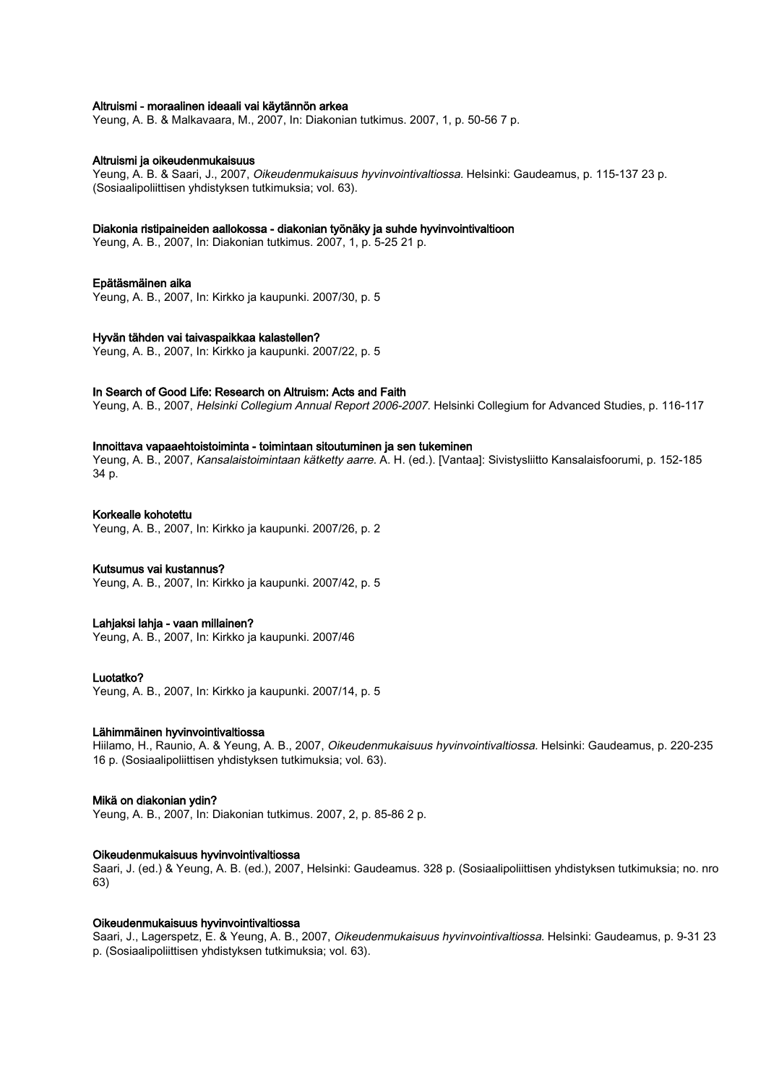## Altruismi - moraalinen ideaali vai käytännön arkea

Yeung, A. B. & Malkavaara, M., 2007, In: Diakonian tutkimus. 2007, 1, p. 50-56 7 p.

### Altruismi ja oikeudenmukaisuus

Yeung, A. B. & Saari, J., 2007, Oikeudenmukaisuus hyvinvointivaltiossa. Helsinki: Gaudeamus, p. 115-137 23 p. (Sosiaalipoliittisen yhdistyksen tutkimuksia; vol. 63).

#### Diakonia ristipaineiden aallokossa - diakonian työnäky ja suhde hyvinvointivaltioon

Yeung, A. B., 2007, In: Diakonian tutkimus. 2007, 1, p. 5-25 21 p.

#### Epätäsmäinen aika

Yeung, A. B., 2007, In: Kirkko ja kaupunki. 2007/30, p. 5

#### Hyvän tähden vai taivaspaikkaa kalastellen?

Yeung, A. B., 2007, In: Kirkko ja kaupunki. 2007/22, p. 5

## In Search of Good Life: Research on Altruism: Acts and Faith

Yeung, A. B., 2007, Helsinki Collegium Annual Report 2006-2007. Helsinki Collegium for Advanced Studies, p. 116-117

#### Innoittava vapaaehtoistoiminta - toimintaan sitoutuminen ja sen tukeminen

Yeung, A. B., 2007, Kansalaistoimintaan kätketty aarre. A. H. (ed.). [Vantaa]: Sivistysliitto Kansalaisfoorumi, p. 152-185 34 p.

## Korkealle kohotettu

Yeung, A. B., 2007, In: Kirkko ja kaupunki. 2007/26, p. 2

#### Kutsumus vai kustannus?

Yeung, A. B., 2007, In: Kirkko ja kaupunki. 2007/42, p. 5

#### Lahjaksi lahja - vaan millainen?

Yeung, A. B., 2007, In: Kirkko ja kaupunki. 2007/46

#### Luotatko?

Yeung, A. B., 2007, In: Kirkko ja kaupunki. 2007/14, p. 5

## Lähimmäinen hyvinvointivaltiossa

Hiilamo, H., Raunio, A. & Yeung, A. B., 2007, Oikeudenmukaisuus hyvinvointivaltiossa. Helsinki: Gaudeamus, p. 220-235 16 p. (Sosiaalipoliittisen yhdistyksen tutkimuksia; vol. 63).

## Mikä on diakonian ydin?

Yeung, A. B., 2007, In: Diakonian tutkimus. 2007, 2, p. 85-86 2 p.

## Oikeudenmukaisuus hyvinvointivaltiossa

Saari, J. (ed.) & Yeung, A. B. (ed.), 2007, Helsinki: Gaudeamus. 328 p. (Sosiaalipoliittisen yhdistyksen tutkimuksia; no. nro 63)

## Oikeudenmukaisuus hyvinvointivaltiossa

Saari, J., Lagerspetz, E. & Yeung, A. B., 2007, Oikeudenmukaisuus hyvinvointivaltiossa. Helsinki: Gaudeamus, p. 9-31 23 p. (Sosiaalipoliittisen yhdistyksen tutkimuksia; vol. 63).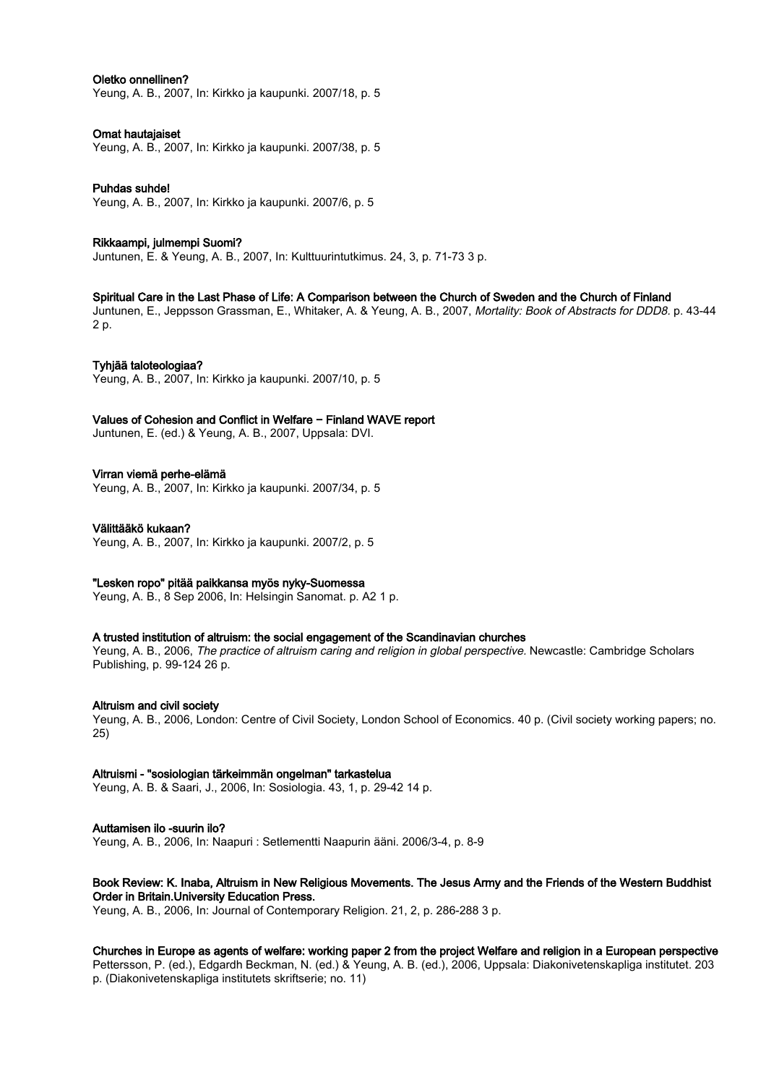## Oletko onnellinen?

Yeung, A. B., 2007, In: Kirkko ja kaupunki. 2007/18, p. 5

## Omat hautajaiset

Yeung, A. B., 2007, In: Kirkko ja kaupunki. 2007/38, p. 5

Puhdas suhde! Yeung, A. B., 2007, In: Kirkko ja kaupunki. 2007/6, p. 5

## Rikkaampi, julmempi Suomi?

Juntunen, E. & Yeung, A. B., 2007, In: Kulttuurintutkimus. 24, 3, p. 71-73 3 p.

## Spiritual Care in the Last Phase of Life: A Comparison between the Church of Sweden and the Church of Finland

Juntunen, E., Jeppsson Grassman, E., Whitaker, A. & Yeung, A. B., 2007, Mortality: Book of Abstracts for DDD8. p. 43-44 2 p.

## Tyhjää taloteologiaa?

Yeung, A. B., 2007, In: Kirkko ja kaupunki. 2007/10, p. 5

## Values of Cohesion and Conflict in Welfare − Finland WAVE report

Juntunen, E. (ed.) & Yeung, A. B., 2007, Uppsala: DVI.

## Virran viemä perhe-elämä

Yeung, A. B., 2007, In: Kirkko ja kaupunki. 2007/34, p. 5

## Välittääkö kukaan?

Yeung, A. B., 2007, In: Kirkko ja kaupunki. 2007/2, p. 5

## "Lesken ropo" pitää paikkansa myös nyky-Suomessa

Yeung, A. B., 8 Sep 2006, In: Helsingin Sanomat. p. A2 1 p.

## A trusted institution of altruism: the social engagement of the Scandinavian churches

Yeung, A. B., 2006, The practice of altruism caring and religion in global perspective. Newcastle: Cambridge Scholars Publishing, p. 99-124 26 p.

## Altruism and civil society

Yeung, A. B., 2006, London: Centre of Civil Society, London School of Economics. 40 p. (Civil society working papers; no. 25)

## Altruismi - "sosiologian tärkeimmän ongelman" tarkastelua

Yeung, A. B. & Saari, J., 2006, In: Sosiologia. 43, 1, p. 29-42 14 p.

## Auttamisen ilo -suurin ilo?

Yeung, A. B., 2006, In: Naapuri : Setlementti Naapurin ääni. 2006/3-4, p. 8-9

## Book Review: K. Inaba, Altruism in New Religious Movements. The Jesus Army and the Friends of the Western Buddhist Order in Britain.University Education Press.

Yeung, A. B., 2006, In: Journal of Contemporary Religion. 21, 2, p. 286-288 3 p.

Churches in Europe as agents of welfare: working paper 2 from the project Welfare and religion in a European perspective

Pettersson, P. (ed.), Edgardh Beckman, N. (ed.) & Yeung, A. B. (ed.), 2006, Uppsala: Diakonivetenskapliga institutet. 203 p. (Diakonivetenskapliga institutets skriftserie; no. 11)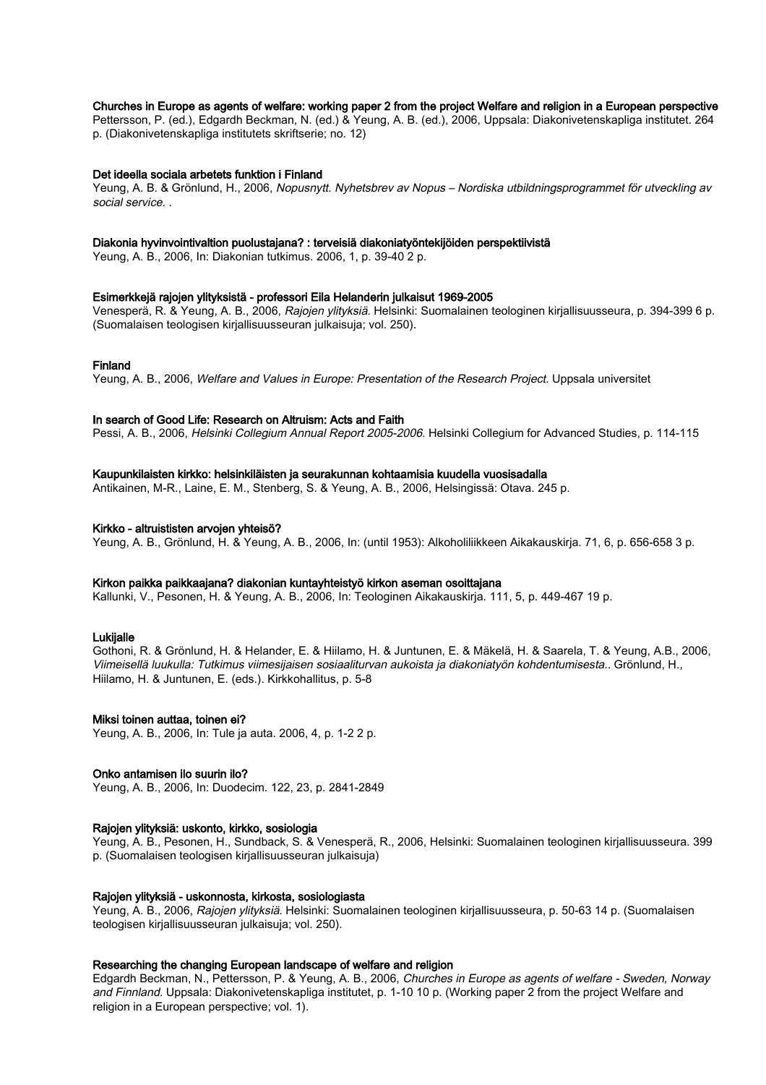## Churches in Europe as agents of welfare: working paper 2 from the project Welfare and religion in a European perspective

Pettersson, P. (ed.), Edgardh Beckman, N. (ed.) & Yeung, A. B. (ed.), 2006, Uppsala: Diakonivetenskapliga institutet. 264 p. (Diakonivetenskapliga institutets skriftserie; no. 12)

#### Det ideella sociala arbetets funktion i Finland

Yeung, A. B. & Grönlund, H., 2006, Nopusnytt. Nyhetsbrev av Nopus – Nordiska utbildningsprogrammet för utveckling av social service. .

#### Diakonia hyvinvointivaltion puolustajana? : terveisiä diakoniatyöntekijöiden perspektiivistä

Yeung, A. B., 2006, In: Diakonian tutkimus. 2006, 1, p. 39-40 2 p.

#### Esimerkkejä rajojen ylityksistä - professori Eila Helanderin julkaisut 1969-2005

Venesperä, R. & Yeung, A. B., 2006, Rajojen ylityksiä. Helsinki: Suomalainen teologinen kirjallisuusseura, p. 394-399 6 p. (Suomalaisen teologisen kirjallisuusseuran julkaisuja; vol. 250).

## Finland

Yeung, A. B., 2006, Welfare and Values in Europe: Presentation of the Research Project. Uppsala universitet

#### In search of Good Life: Research on Altruism: Acts and Faith

Pessi, A. B., 2006, Helsinki Collegium Annual Report 2005-2006. Helsinki Collegium for Advanced Studies, p. 114-115

## Kaupunkilaisten kirkko: helsinkiläisten ja seurakunnan kohtaamisia kuudella vuosisadalla

Antikainen, M-R., Laine, E. M., Stenberg, S. & Yeung, A. B., 2006, Helsingissä: Otava. 245 p.

#### Kirkko - altruististen arvojen yhteisö?

Yeung, A. B., Grönlund, H. & Yeung, A. B., 2006, In: (until 1953): Alkoholiliikkeen Aikakauskirja. 71, 6, p. 656-658 3 p.

### Kirkon paikka paikkaajana? diakonian kuntayhteistyö kirkon aseman osoittajana

Kallunki, V., Pesonen, H. & Yeung, A. B., 2006, In: Teologinen Aikakauskirja. 111, 5, p. 449-467 19 p.

#### **Lukijalle**

Gothoni, R. & Grönlund, H. & Helander, E. & Hiilamo, H. & Juntunen, E. & Mäkelä, H. & Saarela, T. & Yeung, A.B., 2006, Viimeisellä luukulla: Tutkimus viimesijaisen sosiaaliturvan aukoista ja diakoniatyön kohdentumisesta.. Grönlund, H., Hiilamo, H. & Juntunen, E. (eds.). Kirkkohallitus, p. 5-8

#### Miksi toinen auttaa, toinen ei?

Yeung, A. B., 2006, In: Tule ja auta. 2006, 4, p. 1-2 2 p.

#### Onko antamisen ilo suurin ilo?

Yeung, A. B., 2006, In: Duodecim. 122, 23, p. 2841-2849

#### Rajojen ylityksiä: uskonto, kirkko, sosiologia

Yeung, A. B., Pesonen, H., Sundback, S. & Venesperä, R., 2006, Helsinki: Suomalainen teologinen kirjallisuusseura. 399 p. (Suomalaisen teologisen kirjallisuusseuran julkaisuja)

#### Rajojen ylityksiä - uskonnosta, kirkosta, sosiologiasta

Yeung, A. B., 2006, Rajojen ylityksiä. Helsinki: Suomalainen teologinen kirjallisuusseura, p. 50-63 14 p. (Suomalaisen teologisen kirjallisuusseuran julkaisuja; vol. 250).

## Researching the changing European landscape of welfare and religion

Edgardh Beckman, N., Pettersson, P. & Yeung, A. B., 2006, Churches in Europe as agents of welfare - Sweden, Norway and Finnland. Uppsala: Diakonivetenskapliga institutet, p. 1-10 10 p. (Working paper 2 from the project Welfare and religion in a European perspective; vol. 1).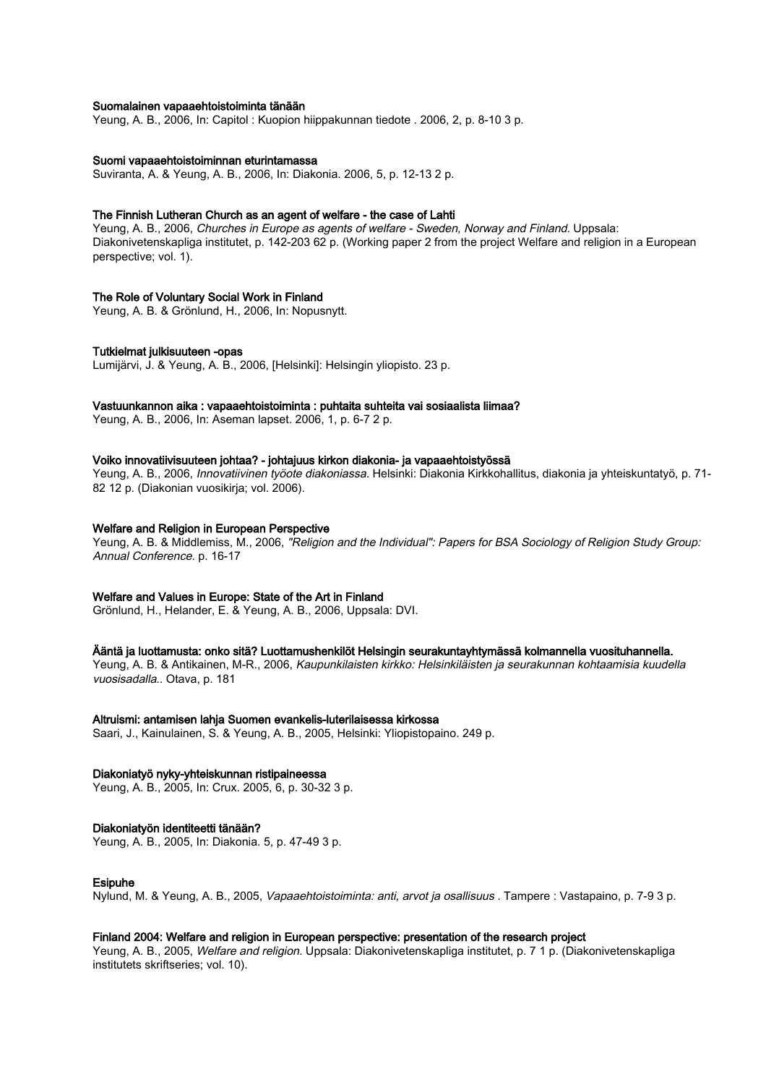### Suomalainen vapaaehtoistoiminta tänään

Yeung, A. B., 2006, In: Capitol : Kuopion hiippakunnan tiedote . 2006, 2, p. 8-10 3 p.

#### Suomi vapaaehtoistoiminnan eturintamassa

Suviranta, A. & Yeung, A. B., 2006, In: Diakonia. 2006, 5, p. 12-13 2 p.

#### The Finnish Lutheran Church as an agent of welfare - the case of Lahti

Yeung, A. B., 2006, Churches in Europe as agents of welfare - Sweden, Norway and Finland. Uppsala: Diakonivetenskapliga institutet, p. 142-203 62 p. (Working paper 2 from the project Welfare and religion in a European perspective; vol. 1).

## The Role of Voluntary Social Work in Finland

Yeung, A. B. & Grönlund, H., 2006, In: Nopusnytt.

#### Tutkielmat julkisuuteen -opas

Lumijärvi, J. & Yeung, A. B., 2006, [Helsinki]: Helsingin yliopisto. 23 p.

#### Vastuunkannon aika : vapaaehtoistoiminta : puhtaita suhteita vai sosiaalista liimaa?

Yeung, A. B., 2006, In: Aseman lapset. 2006, 1, p. 6-7 2 p.

#### Voiko innovatiivisuuteen johtaa? - johtajuus kirkon diakonia- ja vapaaehtoistyössä

Yeung, A. B., 2006, Innovatiivinen työote diakoniassa. Helsinki: Diakonia Kirkkohallitus, diakonia ja yhteiskuntatyö, p. 71- 82 12 p. (Diakonian vuosikirja; vol. 2006).

#### Welfare and Religion in European Perspective

Yeung, A. B. & Middlemiss, M., 2006, "Religion and the Individual": Papers for BSA Sociology of Religion Study Group: Annual Conference. p. 16-17

#### Welfare and Values in Europe: State of the Art in Finland

Grönlund, H., Helander, E. & Yeung, A. B., 2006, Uppsala: DVI.

#### Ääntä ja luottamusta: onko sitä? Luottamushenkilöt Helsingin seurakuntayhtymässä kolmannella vuosituhannella.

Yeung, A. B. & Antikainen, M-R., 2006, Kaupunkilaisten kirkko: Helsinkiläisten ja seurakunnan kohtaamisia kuudella vuosisadalla.. Otava, p. 181

#### Altruismi: antamisen lahja Suomen evankelis-luterilaisessa kirkossa

Saari, J., Kainulainen, S. & Yeung, A. B., 2005, Helsinki: Yliopistopaino. 249 p.

#### Diakoniatyö nyky-yhteiskunnan ristipaineessa

Yeung, A. B., 2005, In: Crux. 2005, 6, p. 30-32 3 p.

#### Diakoniatyön identiteetti tänään?

Yeung, A. B., 2005, In: Diakonia. 5, p. 47-49 3 p.

#### Esipuhe

Nylund, M. & Yeung, A. B., 2005, Vapaaehtoistoiminta: anti, arvot ja osallisuus . Tampere : Vastapaino, p. 7-9 3 p.

## Finland 2004: Welfare and religion in European perspective: presentation of the research project

Yeung, A. B., 2005, Welfare and religion. Uppsala: Diakonivetenskapliga institutet, p. 7 1 p. (Diakonivetenskapliga institutets skriftseries; vol. 10).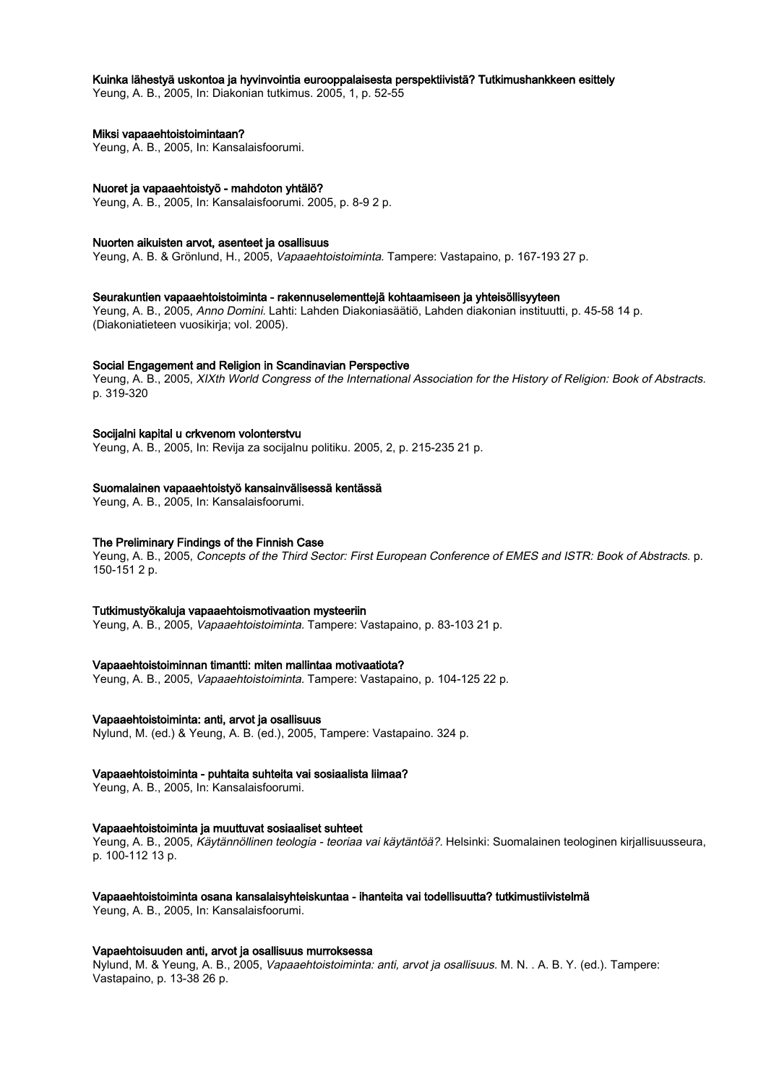## Kuinka lähestyä uskontoa ja hyvinvointia eurooppalaisesta perspektiivistä? Tutkimushankkeen esittely

Yeung, A. B., 2005, In: Diakonian tutkimus. 2005, 1, p. 52-55

## Miksi vapaaehtoistoimintaan?

Yeung, A. B., 2005, In: Kansalaisfoorumi.

## Nuoret ja vapaaehtoistyö - mahdoton yhtälö?

Yeung, A. B., 2005, In: Kansalaisfoorumi. 2005, p. 8-9 2 p.

#### Nuorten aikuisten arvot, asenteet ja osallisuus

Yeung, A. B. & Grönlund, H., 2005, Vapaaehtoistoiminta. Tampere: Vastapaino, p. 167-193 27 p.

## Seurakuntien vapaaehtoistoiminta - rakennuselementtejä kohtaamiseen ja yhteisöllisyyteen

Yeung, A. B., 2005, Anno Domini. Lahti: Lahden Diakoniasäätiö, Lahden diakonian instituutti, p. 45-58 14 p. (Diakoniatieteen vuosikirja; vol. 2005).

#### Social Engagement and Religion in Scandinavian Perspective

Yeung, A. B., 2005, XIXth World Congress of the International Association for the History of Religion: Book of Abstracts. p. 319-320

## Socijalni kapital u crkvenom volonterstvu

Yeung, A. B., 2005, In: Revija za socijalnu politiku. 2005, 2, p. 215-235 21 p.

## Suomalainen vapaaehtoistyö kansainvälisessä kentässä

Yeung, A. B., 2005, In: Kansalaisfoorumi.

## The Preliminary Findings of the Finnish Case

Yeung, A. B., 2005, Concepts of the Third Sector: First European Conference of EMES and ISTR: Book of Abstracts. p. 150-151 2 p.

#### Tutkimustyökaluja vapaaehtoismotivaation mysteeriin

Yeung, A. B., 2005, Vapaaehtoistoiminta. Tampere: Vastapaino, p. 83-103 21 p.

#### Vapaaehtoistoiminnan timantti: miten mallintaa motivaatiota?

Yeung, A. B., 2005, Vapaaehtoistoiminta. Tampere: Vastapaino, p. 104-125 22 p.

#### Vapaaehtoistoiminta: anti, arvot ja osallisuus

Nylund, M. (ed.) & Yeung, A. B. (ed.), 2005, Tampere: Vastapaino. 324 p.

## Vapaaehtoistoiminta - puhtaita suhteita vai sosiaalista liimaa?

Yeung, A. B., 2005, In: Kansalaisfoorumi.

## Vapaaehtoistoiminta ja muuttuvat sosiaaliset suhteet

Yeung, A. B., 2005, Käytännöllinen teologia - teoriaa vai käytäntöä?. Helsinki: Suomalainen teologinen kirjallisuusseura, p. 100-112 13 p.

## Vapaaehtoistoiminta osana kansalaisyhteiskuntaa - ihanteita vai todellisuutta? tutkimustiivistelmä

Yeung, A. B., 2005, In: Kansalaisfoorumi.

#### Vapaehtoisuuden anti, arvot ja osallisuus murroksessa

Nylund, M. & Yeung, A. B., 2005, Vapaaehtoistoiminta: anti, arvot ja osallisuus. M. N. . A. B. Y. (ed.). Tampere: Vastapaino, p. 13-38 26 p.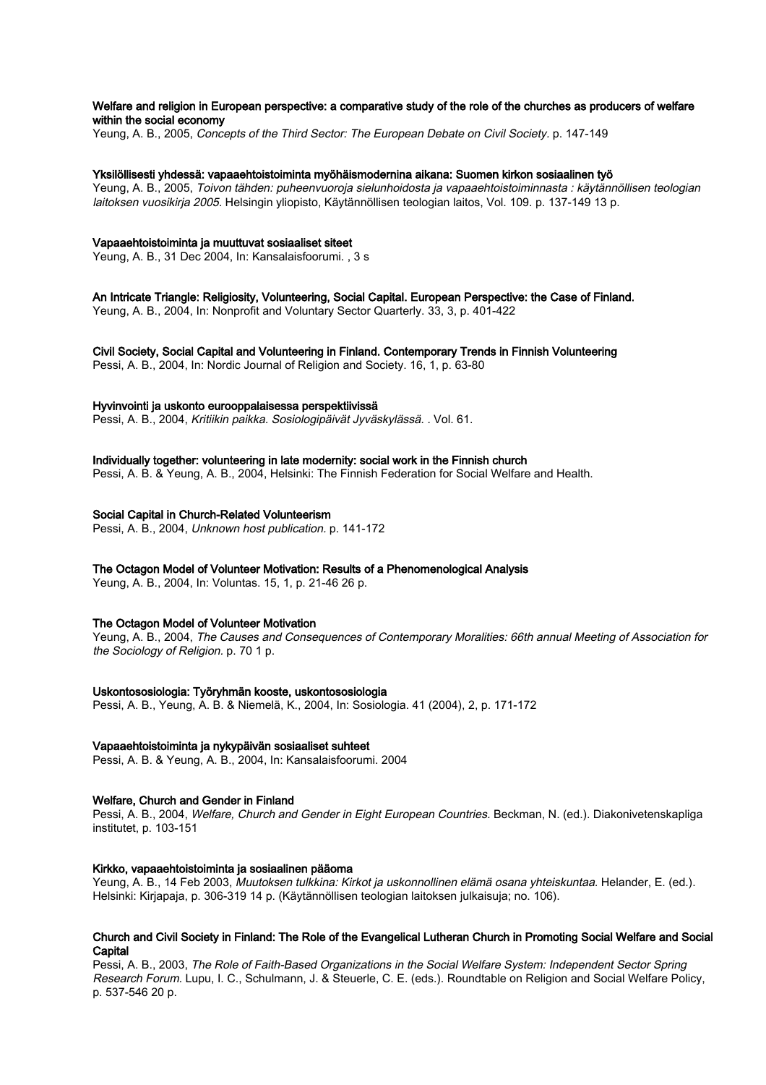## Welfare and religion in European perspective: a comparative study of the role of the churches as producers of welfare within the social economy

Yeung, A. B., 2005, Concepts of the Third Sector: The European Debate on Civil Society. p. 147-149

#### Yksilöllisesti yhdessä: vapaaehtoistoiminta myöhäismodernina aikana: Suomen kirkon sosiaalinen työ

Yeung, A. B., 2005, Toivon tähden: puheenvuoroja sielunhoidosta ja vapaaehtoistoiminnasta : käytännöllisen teologian laitoksen vuosikirja 2005. Helsingin yliopisto, Käytännöllisen teologian laitos, Vol. 109. p. 137-149 13 p.

## Vapaaehtoistoiminta ja muuttuvat sosiaaliset siteet

Yeung, A. B., 31 Dec 2004, In: Kansalaisfoorumi. , 3 s

An Intricate Triangle: Religiosity, Volunteering, Social Capital. European Perspective: the Case of Finland. Yeung, A. B., 2004, In: Nonprofit and Voluntary Sector Quarterly. 33, 3, p. 401-422

Civil Society, Social Capital and Volunteering in Finland. Contemporary Trends in Finnish Volunteering Pessi, A. B., 2004, In: Nordic Journal of Religion and Society. 16, 1, p. 63-80

# Hyvinvointi ja uskonto eurooppalaisessa perspektiivissä

Pessi, A. B., 2004, Kritiikin paikka. Sosiologipäivät Jyväskylässä. . Vol. 61.

#### Individually together: volunteering in late modernity: social work in the Finnish church

Pessi, A. B. & Yeung, A. B., 2004, Helsinki: The Finnish Federation for Social Welfare and Health.

#### Social Capital in Church-Related Volunteerism

Pessi, A. B., 2004, Unknown host publication. p. 141-172

#### The Octagon Model of Volunteer Motivation: Results of a Phenomenological Analysis

Yeung, A. B., 2004, In: Voluntas. 15, 1, p. 21-46 26 p.

## The Octagon Model of Volunteer Motivation

Yeung, A. B., 2004, The Causes and Consequences of Contemporary Moralities: 66th annual Meeting of Association for the Sociology of Religion. p. 70 1 p.

#### Uskontososiologia: Työryhmän kooste, uskontososiologia

Pessi, A. B., Yeung, A. B. & Niemelä, K., 2004, In: Sosiologia. 41 (2004), 2, p. 171-172

## Vapaaehtoistoiminta ja nykypäivän sosiaaliset suhteet

Pessi, A. B. & Yeung, A. B., 2004, In: Kansalaisfoorumi. 2004

## Welfare, Church and Gender in Finland

Pessi, A. B., 2004, Welfare, Church and Gender in Eight European Countries. Beckman, N. (ed.). Diakonivetenskapliga institutet, p. 103-151

#### Kirkko, vapaaehtoistoiminta ja sosiaalinen pääoma

Yeung, A. B., 14 Feb 2003, Muutoksen tulkkina: Kirkot ja uskonnollinen elämä osana yhteiskuntaa. Helander, E. (ed.). Helsinki: Kirjapaja, p. 306-319 14 p. (Käytännöllisen teologian laitoksen julkaisuja; no. 106).

## Church and Civil Society in Finland: The Role of the Evangelical Lutheran Church in Promoting Social Welfare and Social **Capital**

Pessi, A. B., 2003, The Role of Faith-Based Organizations in the Social Welfare System: Independent Sector Spring Research Forum. Lupu, I. C., Schulmann, J. & Steuerle, C. E. (eds.). Roundtable on Religion and Social Welfare Policy, p. 537-546 20 p.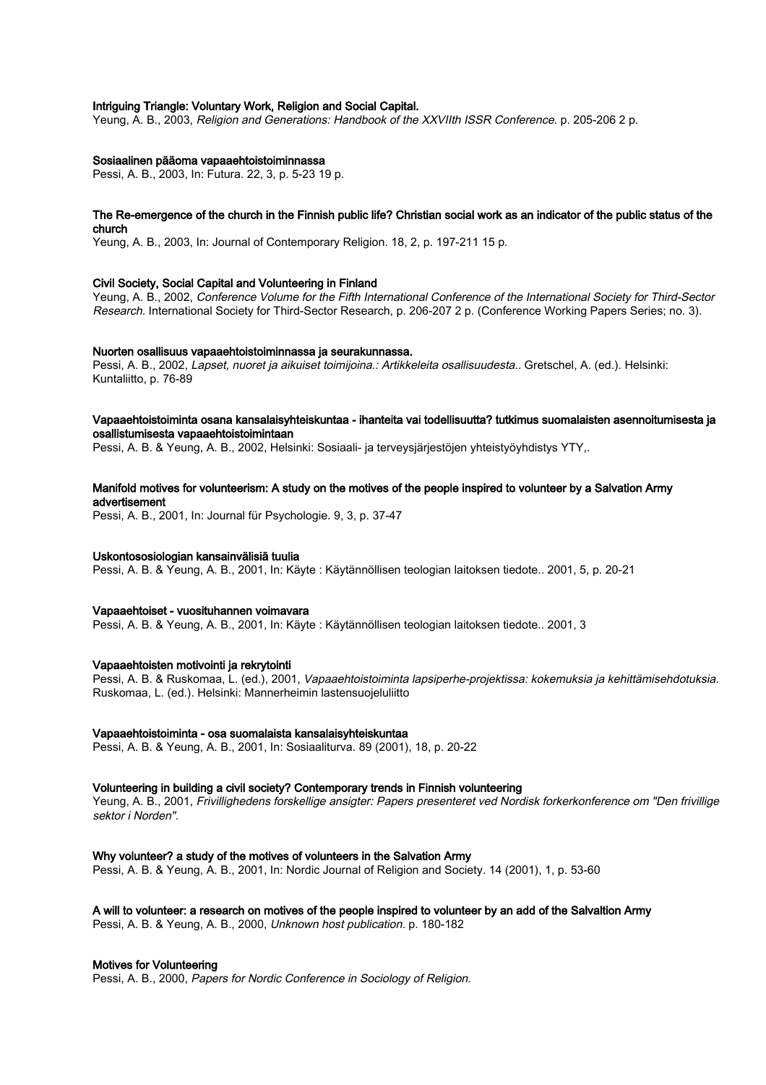## Intriguing Triangle: Voluntary Work, Religion and Social Capital.

Yeung, A. B., 2003, Religion and Generations: Handbook of the XXVIIth ISSR Conference. p. 205-206 2 p.

## Sosiaalinen pääoma vapaaehtoistoiminnassa

Pessi, A. B., 2003, In: Futura. 22, 3, p. 5-23 19 p.

#### The Re-emergence of the church in the Finnish public life? Christian social work as an indicator of the public status of the church

Yeung, A. B., 2003, In: Journal of Contemporary Religion. 18, 2, p. 197-211 15 p.

#### Civil Society, Social Capital and Volunteering in Finland

Yeung, A. B., 2002, Conference Volume for the Fifth International Conference of the International Society for Third-Sector Research. International Society for Third-Sector Research, p. 206-207 2 p. (Conference Working Papers Series; no. 3).

#### Nuorten osallisuus vapaaehtoistoiminnassa ja seurakunnassa.

Pessi, A. B., 2002, Lapset, nuoret ja aikuiset toimijoina.: Artikkeleita osallisuudesta.. Gretschel, A. (ed.). Helsinki: Kuntaliitto, p. 76-89

## Vapaaehtoistoiminta osana kansalaisyhteiskuntaa - ihanteita vai todellisuutta? tutkimus suomalaisten asennoitumisesta ja osallistumisesta vapaaehtoistoimintaan

Pessi, A. B. & Yeung, A. B., 2002, Helsinki: Sosiaali- ja terveysjärjestöjen yhteistyöyhdistys YTY,.

## Manifold motives for volunteerism: A study on the motives of the people inspired to volunteer by a Salvation Army advertisement

Pessi, A. B., 2001, In: Journal für Psychologie. 9, 3, p. 37-47

#### Uskontososiologian kansainvälisiä tuulia

Pessi, A. B. & Yeung, A. B., 2001, In: Käyte : Käytännöllisen teologian laitoksen tiedote.. 2001, 5, p. 20-21

#### Vapaaehtoiset - vuosituhannen voimavara

Pessi, A. B. & Yeung, A. B., 2001, In: Käyte : Käytännöllisen teologian laitoksen tiedote.. 2001, 3

#### Vapaaehtoisten motivointi ja rekrytointi

Pessi, A. B. & Ruskomaa, L. (ed.), 2001, Vapaaehtoistoiminta lapsiperhe-projektissa: kokemuksia ja kehittämisehdotuksia. Ruskomaa, L. (ed.). Helsinki: Mannerheimin lastensuojeluliitto

#### Vapaaehtoistoiminta - osa suomalaista kansalaisyhteiskuntaa

Pessi, A. B. & Yeung, A. B., 2001, In: Sosiaaliturva. 89 (2001), 18, p. 20-22

#### Volunteering in building a civil society? Contemporary trends in Finnish volunteering

Yeung, A. B., 2001, Frivillighedens forskellige ansigter: Papers presenteret ved Nordisk forkerkonference om "Den frivillige sektor i Norden".

#### Why volunteer? a study of the motives of volunteers in the Salvation Army

Pessi, A. B. & Yeung, A. B., 2001, In: Nordic Journal of Religion and Society. 14 (2001), 1, p. 53-60

## A will to volunteer: a research on motives of the people inspired to volunteer by an add of the Salvaltion Army

Pessi, A. B. & Yeung, A. B., 2000, Unknown host publication. p. 180-182

#### Motives for Volunteering

Pessi, A. B., 2000, Papers for Nordic Conference in Sociology of Religion.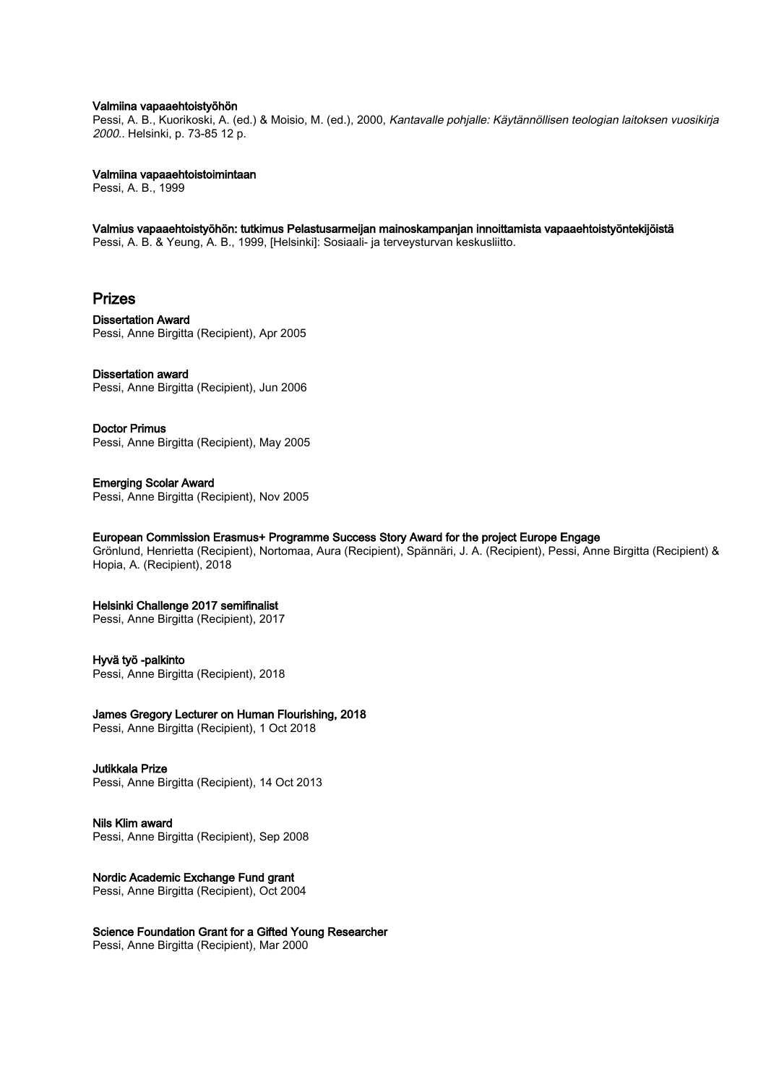#### Valmiina vapaaehtoistyöhön

Pessi, A. B., Kuorikoski, A. (ed.) & Moisio, M. (ed.), 2000, Kantavalle pohjalle: Käytännöllisen teologian laitoksen vuosikirja 2000.. Helsinki, p. 73-85 12 p.

Valmiina vapaaehtoistoimintaan

Pessi, A. B., 1999

Valmius vapaaehtoistyöhön: tutkimus Pelastusarmeijan mainoskampanjan innoittamista vapaaehtoistyöntekijöistä Pessi, A. B. & Yeung, A. B., 1999, [Helsinki]: Sosiaali- ja terveysturvan keskusliitto.

# Prizes

Dissertation Award Pessi, Anne Birgitta (Recipient), Apr 2005

## Dissertation award

Pessi, Anne Birgitta (Recipient), Jun 2006

Doctor Primus Pessi, Anne Birgitta (Recipient), May 2005

Emerging Scolar Award Pessi, Anne Birgitta (Recipient), Nov 2005

## European Commission Erasmus+ Programme Success Story Award for the project Europe Engage

Grönlund, Henrietta (Recipient), Nortomaa, Aura (Recipient), Spännäri, J. A. (Recipient), Pessi, Anne Birgitta (Recipient) & Hopia, A. (Recipient), 2018

## Helsinki Challenge 2017 semifinalist

Pessi, Anne Birgitta (Recipient), 2017

## Hyvä työ -palkinto

Pessi, Anne Birgitta (Recipient), 2018

James Gregory Lecturer on Human Flourishing, 2018

Pessi, Anne Birgitta (Recipient), 1 Oct 2018

## Jutikkala Prize

Pessi, Anne Birgitta (Recipient), 14 Oct 2013

Nils Klim award Pessi, Anne Birgitta (Recipient), Sep 2008

Nordic Academic Exchange Fund grant Pessi, Anne Birgitta (Recipient), Oct 2004

Science Foundation Grant for a Gifted Young Researcher Pessi, Anne Birgitta (Recipient), Mar 2000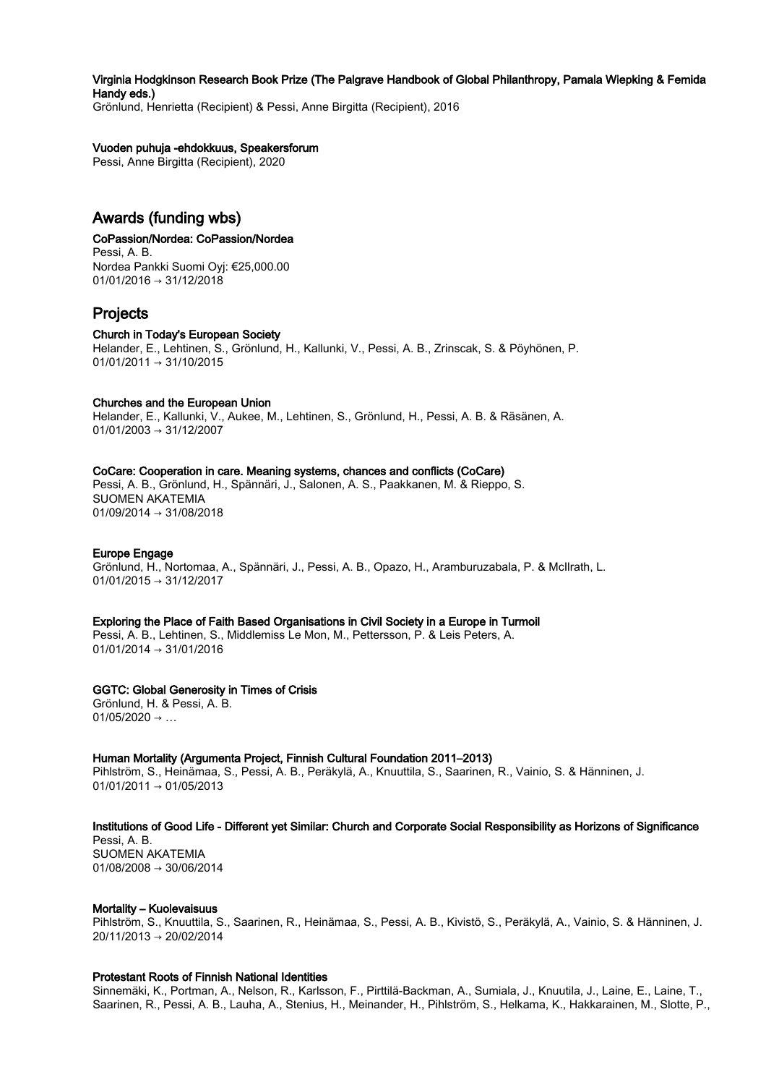Virginia Hodgkinson Research Book Prize (The Palgrave Handbook of Global Philanthropy, Pamala Wiepking & Femida Handy eds.)

Grönlund, Henrietta (Recipient) & Pessi, Anne Birgitta (Recipient), 2016

## Vuoden puhuja -ehdokkuus, Speakersforum

Pessi, Anne Birgitta (Recipient), 2020

# Awards (funding wbs)

## CoPassion/Nordea: CoPassion/Nordea

Pessi, A. B. Nordea Pankki Suomi Oyj: €25,000.00  $01/01/2016 \rightarrow 31/12/2018$ 

# Projects

## Church in Today's European Society

Helander, E., Lehtinen, S., Grönlund, H., Kallunki, V., Pessi, A. B., Zrinscak, S. & Pöyhönen, P. 01/01/2011 → 31/10/2015

## Churches and the European Union

Helander, E., Kallunki, V., Aukee, M., Lehtinen, S., Grönlund, H., Pessi, A. B. & Räsänen, A. 01/01/2003 → 31/12/2007

### CoCare: Cooperation in care. Meaning systems, chances and conflicts (CoCare)

Pessi, A. B., Grönlund, H., Spännäri, J., Salonen, A. S., Paakkanen, M. & Rieppo, S. SUOMEN AKATEMIA 01/09/2014 → 31/08/2018

## Europe Engage

Grönlund, H., Nortomaa, A., Spännäri, J., Pessi, A. B., Opazo, H., Aramburuzabala, P. & McIlrath, L. 01/01/2015 → 31/12/2017

#### Exploring the Place of Faith Based Organisations in Civil Society in a Europe in Turmoil

Pessi, A. B., Lehtinen, S., Middlemiss Le Mon, M., Pettersson, P. & Leis Peters, A.  $01/01/2014 \rightarrow 31/01/2016$ 

## GGTC: Global Generosity in Times of Crisis

Grönlund, H. & Pessi, A. B.  $01/05/2020 \rightarrow ...$ 

#### Human Mortality (Argumenta Project, Finnish Cultural Foundation 2011–2013)

Pihlström, S., Heinämaa, S., Pessi, A. B., Peräkylä, A., Knuuttila, S., Saarinen, R., Vainio, S. & Hänninen, J.  $01/01/2011 \rightarrow 01/05/2013$ 

#### Institutions of Good Life - Different yet Similar: Church and Corporate Social Responsibility as Horizons of Significance

Pessi, A. B. SUOMEN AKATEMIA 01/08/2008 → 30/06/2014

## Mortality – Kuolevaisuus

Pihlström, S., Knuuttila, S., Saarinen, R., Heinämaa, S., Pessi, A. B., Kivistö, S., Peräkylä, A., Vainio, S. & Hänninen, J. 20/11/2013 → 20/02/2014

#### Protestant Roots of Finnish National Identities

Sinnemäki, K., Portman, A., Nelson, R., Karlsson, F., Pirttilä-Backman, A., Sumiala, J., Knuutila, J., Laine, E., Laine, T., Saarinen, R., Pessi, A. B., Lauha, A., Stenius, H., Meinander, H., Pihlström, S., Helkama, K., Hakkarainen, M., Slotte, P.,